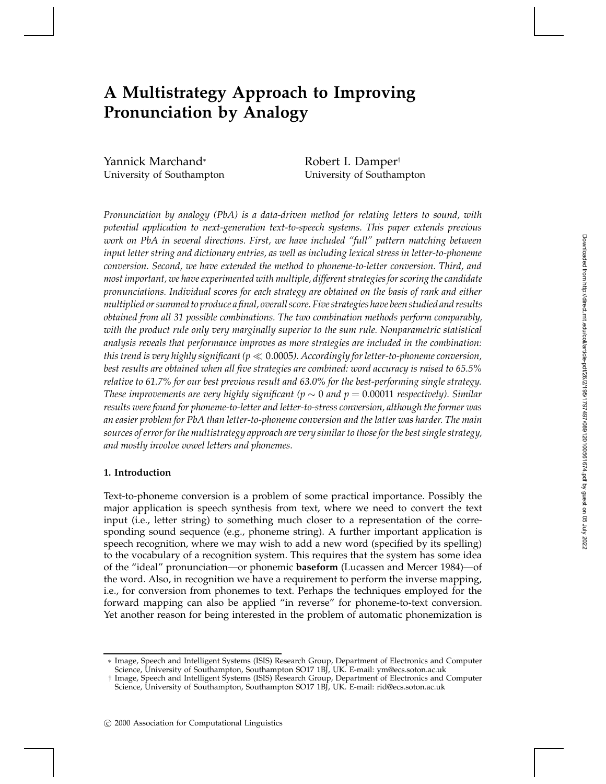# **A Multistrategy Approach to Improving Pronunciation by Analogy**

Yannick Marchand University of Southampton University of Southampton

Robert I. Damper<sup>†</sup>

*Pronunciation by analogy (PbA) is a data-driven method for relating letters to sound, with potential application to next-generation text-to-speech systems. This paper extends previous work on PbA in several directions. First, we have included "full" pattern matching between input letter string and dictionary entries, as well as including lexical stress in letter-to-phoneme conversion. Second, we have extended the method to phoneme-to-letter conversion. Third, and most important, we have experimented with multiple, different strategies for scoring the candidate pronunciations. Individual scores for each strategy are obtained on the basis of rank and either multiplied or summed to produce a final, overall score. Five strategies have been studied and results obtained from all 31 possible combinations. The two combination methods perform comparably, with the product rule only very marginally superior to the sum rule. Nonparametric statistical analysis reveals that performance improves as more strategies are included in the combination: this trend is very highly significant (p*  $\ll$  0.0005*). Accordingly for letter-to-phoneme conversion, best results are obtained when all five strategies are combined: word accuracy is raised to 65.5% relative to 61.7% for our best previous result and 63.0% for the best-performing single strategy. These improvements are very highly significant (p*  $\sim$  *0 and p = 0.00011 respectively). Similar results were found for phoneme-to-letter and letter-to-stress conversion, although the former was an easier problem for PbA than letter-to-phoneme conversion and the latter was harder. The main sources of error for the multistrategy approach are very similar to those for the best single strategy, and mostly involve vowel letters and phonemes.*

# **1. Introduction**

Text-to-phoneme conversion is a problem of some practical importance. Possibly the major application is speech synthesis from text, where we need to convert the text input (i.e., letter string) to something much closer to a representation of the corresponding sound sequence (e.g., phoneme string). A further important application is speech recognition, where we may wish to add a new word (specified by its spelling) to the vocabulary of a recognition system. This requires that the system has some idea of the "ideal" pronunciation—or phonemic **baseform** (Lucassen and Mercer 1984)—of the word. Also, in recognition we have a requirement to perform the inverse mapping, i.e., for conversion from phonemes to text. Perhaps the techniques employed for the forward mapping can also be applied "in reverse" for phoneme-to-text conversion. Yet another reason for being interested in the problem of automatic phonemization is

Image, Speech and Intelligent Systems (ISIS) Research Group, Department of Electronics and Computer Science, University of Southampton, Southampton SO17 1BJ, UK. E-mail: ym@ecs.soton.ac.uk

<sup>y</sup> Image, Speech and Intelligent Systems (ISIS) Research Group, Department of Electronics and Computer Science, University of Southampton, Southampton SO17 1BJ, UK. E-mail: rid@ecs.soton.ac.uk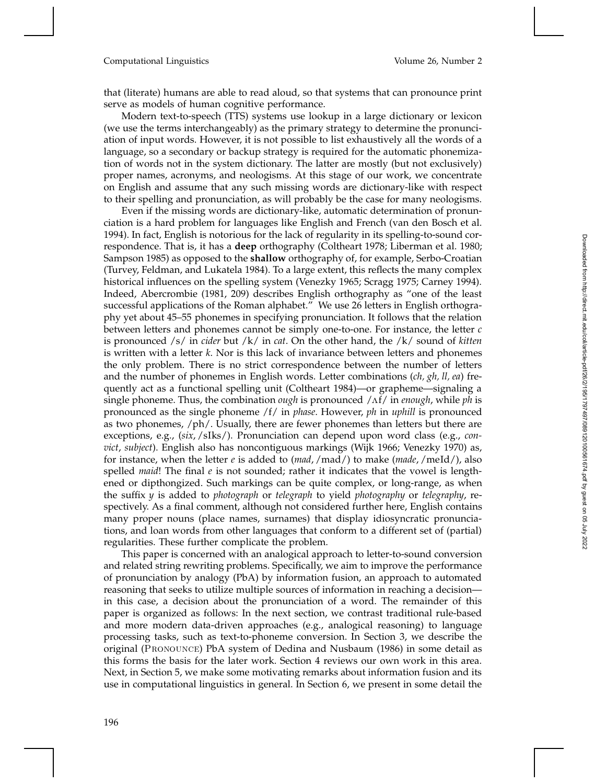that (literate) humans are able to read aloud, so that systems that can pronounce print serve as models of human cognitive performance.

Modern text-to-speech (TTS) systems use lookup in a large dictionary or lexicon (we use the terms interchangeably) as the primary strategy to determine the pronunciation of input words. However, it is not possible to list exhaustively all the words of a language, so a secondary or backup strategy is required for the automatic phonemization of words not in the system dictionary. The latter are mostly (but not exclusively) proper names, acronyms, and neologisms. At this stage of our work, we concentrate on English and assume that any such missing words are dictionary-like with respect to their spelling and pronunciation, as will probably be the case for many neologisms.

Even if the missing words are dictionary-like, automatic determination of pronunciation is a hard problem for languages like English and French (van den Bosch et al. 1994). In fact, English is notorious for the lack of regularity in its spelling-to-sound correspondence. That is, it has a **deep** orthography (Coltheart 1978; Liberman et al. 1980; Sampson 1985) as opposed to the **shallow** orthography of, for example, Serbo-Croatian (Turvey, Feldman, and Lukatela 1984). To a large extent, this reflects the many complex historical influences on the spelling system (Venezky 1965; Scragg 1975; Carney 1994). Indeed, Abercrombie (1981, 209) describes English orthography as "one of the least successful applications of the Roman alphabet." We use 26 letters in English orthography yet about 45–55 phonemes in specifying pronunciation. It follows that the relation between letters and phonemes cannot be simply one-to-one. For instance, the letter *c* is pronounced /s/ in *cider* but /k/ in *cat*. On the other hand, the /k/ sound of *kitten* is written with a letter *k*. Nor is this lack of invariance between letters and phonemes the only problem. There is no strict correspondence between the number of letters and the number of phonemes in English words. Letter combinations (*ch, gh, ll, ea*) frequently act as a functional spelling unit (Coltheart 1984)—or grapheme—signaling a single phoneme. Thus, the combination *ough* is pronounced / f/ in *enough*, while *ph* is pronounced as the single phoneme /f/ in *phase*. However, *ph* in *uphill* is pronounced as two phonemes, /ph/. Usually, there are fewer phonemes than letters but there are exceptions, e.g., (*six*, /s <sup>I</sup>ks/). Pronunciation can depend upon word class (e.g., *convict*, *subject*). English also has noncontiguous markings (Wijk 1966; Venezky 1970) as, for instance, when the letter *e* is added to (*mad*, /mad/) to make (*made*, /me <sup>I</sup>d/), also spelled *maid*! The final *e* is not sounded; rather it indicates that the vowel is lengthened or dipthongized. Such markings can be quite complex, or long-range, as when the suffix *y* is added to *photograph* or *telegraph* to yield *photography* or *telegraphy*, respectively. As a final comment, although not considered further here, English contains many proper nouns (place names, surnames) that display idiosyncratic pronunciations, and loan words from other languages that conform to a different set of (partial) regularities. These further complicate the problem.

This paper is concerned with an analogical approach to letter-to-sound conversion and related string rewriting problems. Specifically, we aim to improve the performance of pronunciation by analogy (PbA) by information fusion, an approach to automated reasoning that seeks to utilize multiple sources of information in reaching a decision in this case, a decision about the pronunciation of a word. The remainder of this paper is organized as follows: In the next section, we contrast traditional rule-based and more modern data-driven approaches (e.g., analogical reasoning) to language processing tasks, such as text-to-phoneme conversion. In Section 3, we describe the original (Pronounce) PbA system of Dedina and Nusbaum (1986) in some detail as this forms the basis for the later work. Section 4 reviews our own work in this area. Next, in Section 5, we make some motivating remarks about information fusion and its use in computational linguistics in general. In Section 6, we present in some detail the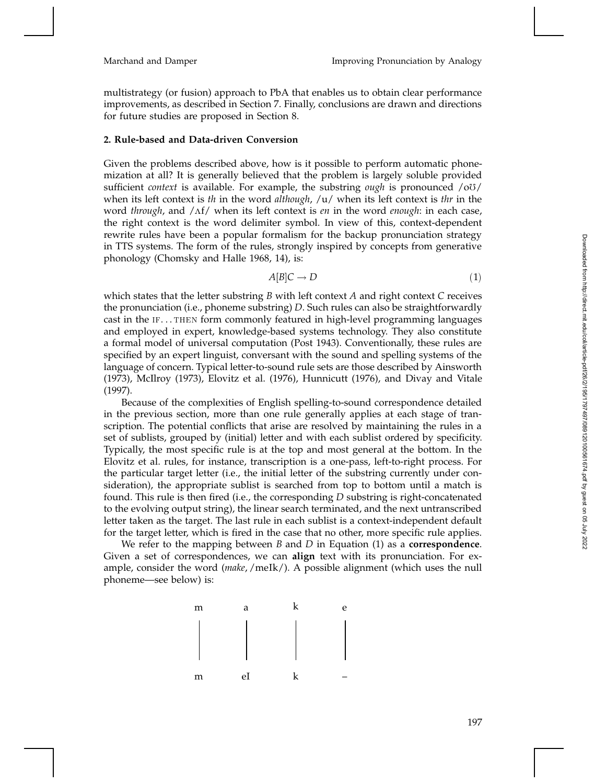multistrategy (or fusion) approach to PbA that enables us to obtain clear performance improvements, as described in Section 7. Finally, conclusions are drawn and directions for future studies are proposed in Section 8.

# **2. Rule-based and Data-driven Conversion**

Given the problems described above, how is it possible to perform automatic phonemization at all? It is generally believed that the problem is largely soluble provided sufficient *context* is available. For example, the substring *ough* is pronounced /oV/ when its left context is *th* in the word *although*, /u/ when its left context is *thr* in the word *through*, and / $\Delta f$ / when its left context is *en* in the word *enough*: in each case, the right context is the word delimiter symbol. In view of this, context-dependent rewrite rules have been a popular formalism for the backup pronunciation strategy in TTS systems. The form of the rules, strongly inspired by concepts from generative phonology (Chomsky and Halle 1968, 14), is:

$$
A[B]C \to D \tag{1}
$$

which states that the letter substring *B* with left context *A* and right context *C* receives the pronunciation (i.e., phoneme substring) *D*. Such rules can also be straightforwardly cast in the IF... THEN form commonly featured in high-level programming languages and employed in expert, knowledge-based systems technology. They also constitute a formal model of universal computation (Post 1943). Conventionally, these rules are specified by an expert linguist, conversant with the sound and spelling systems of the language of concern. Typical letter-to-sound rule sets are those described by Ainsworth (1973), McIlroy (1973), Elovitz et al. (1976), Hunnicutt (1976), and Divay and Vitale (1997).

Because of the complexities of English spelling-to-sound correspondence detailed in the previous section, more than one rule generally applies at each stage of transcription. The potential conflicts that arise are resolved by maintaining the rules in a set of sublists, grouped by (initial) letter and with each sublist ordered by specificity. Typically, the most specific rule is at the top and most general at the bottom. In the Elovitz et al. rules, for instance, transcription is a one-pass, left-to-right process. For the particular target letter (i.e., the initial letter of the substring currently under consideration), the appropriate sublist is searched from top to bottom until a match is found. This rule is then fired (i.e., the corresponding *D* substring is right-concatenated to the evolving output string), the linear search terminated, and the next untranscribed letter taken as the target. The last rule in each sublist is a context-independent default for the target letter, which is fired in the case that no other, more specific rule applies.

We refer to the mapping between *B* and *D* in Equation (1) as a **correspondence**. Given a set of correspondences, we can **align** text with its pronunciation. For example, consider the word (*make*, /meIk/). A possible alignment (which uses the null phoneme—see below) is:

m m a e<sup>I</sup> k k e –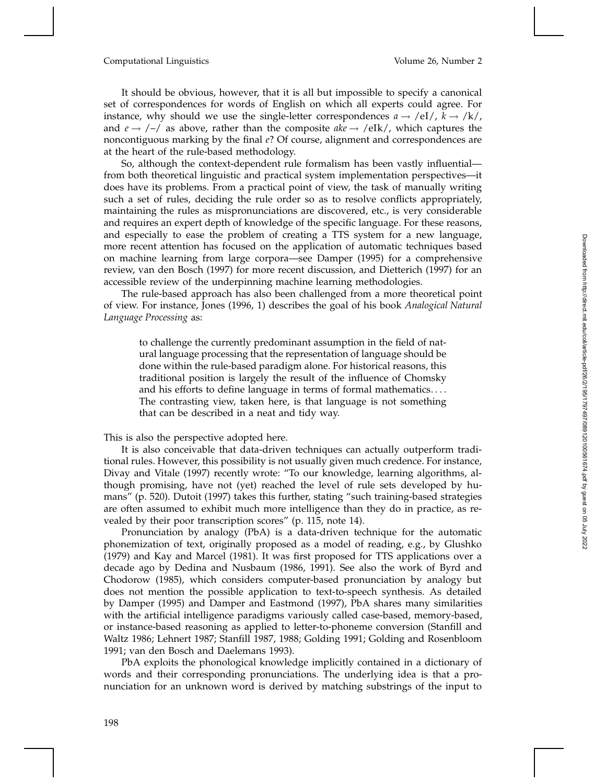Computational Linguistics Volume 26, Number 2

It should be obvious, however, that it is all but impossible to specify a canonical set of correspondences for words of English on which all experts could agree. For instance, why should we use the single-letter correspondences  $a \rightarrow /eI/$ ,  $k \rightarrow /k/$ , and  $e \rightarrow /-\prime$  as above, rather than the composite  $ake \rightarrow /eK/$ , which captures the noncontiguous marking by the final *e*? Of course, alignment and correspondences are at the heart of the rule-based methodology.

So, although the context-dependent rule formalism has been vastly influential from both theoretical linguistic and practical system implementation perspectives—it does have its problems. From a practical point of view, the task of manually writing such a set of rules, deciding the rule order so as to resolve conflicts appropriately, maintaining the rules as mispronunciations are discovered, etc., is very considerable and requires an expert depth of knowledge of the specific language. For these reasons, and especially to ease the problem of creating a TTS system for a new language, more recent attention has focused on the application of automatic techniques based on machine learning from large corpora—see Damper (1995) for a comprehensive review, van den Bosch (1997) for more recent discussion, and Dietterich (1997) for an accessible review of the underpinning machine learning methodologies.

The rule-based approach has also been challenged from a more theoretical point of view. For instance, Jones (1996, 1) describes the goal of his book *Analogical Natural Language Processing* as:

to challenge the currently predominant assumption in the field of natural language processing that the representation of language should be done within the rule-based paradigm alone. For historical reasons, this traditional position is largely the result of the influence of Chomsky and his efforts to define language in terms of formal mathematics.... The contrasting view, taken here, is that language is not something that can be described in a neat and tidy way.

This is also the perspective adopted here.

It is also conceivable that data-driven techniques can actually outperform traditional rules. However, this possibility is not usually given much credence. For instance, Divay and Vitale (1997) recently wrote: "To our knowledge, learning algorithms, although promising, have not (yet) reached the level of rule sets developed by humans" (p. 520). Dutoit (1997) takes this further, stating "such training-based strategies are often assumed to exhibit much more intelligence than they do in practice, as revealed by their poor transcription scores" (p. 115, note 14).

Pronunciation by analogy (PbA) is a data-driven technique for the automatic phonemization of text, originally proposed as a model of reading, e.g., by Glushko (1979) and Kay and Marcel (1981). It was first proposed for TTS applications over a decade ago by Dedina and Nusbaum (1986, 1991). See also the work of Byrd and Chodorow (1985), which considers computer-based pronunciation by analogy but does not mention the possible application to text-to-speech synthesis. As detailed by Damper (1995) and Damper and Eastmond (1997), PbA shares many similarities with the artificial intelligence paradigms variously called case-based, memory-based, or instance-based reasoning as applied to letter-to-phoneme conversion (Stanfill and Waltz 1986; Lehnert 1987; Stanfill 1987, 1988; Golding 1991; Golding and Rosenbloom 1991; van den Bosch and Daelemans 1993).

PbA exploits the phonological knowledge implicitly contained in a dictionary of words and their corresponding pronunciations. The underlying idea is that a pronunciation for an unknown word is derived by matching substrings of the input to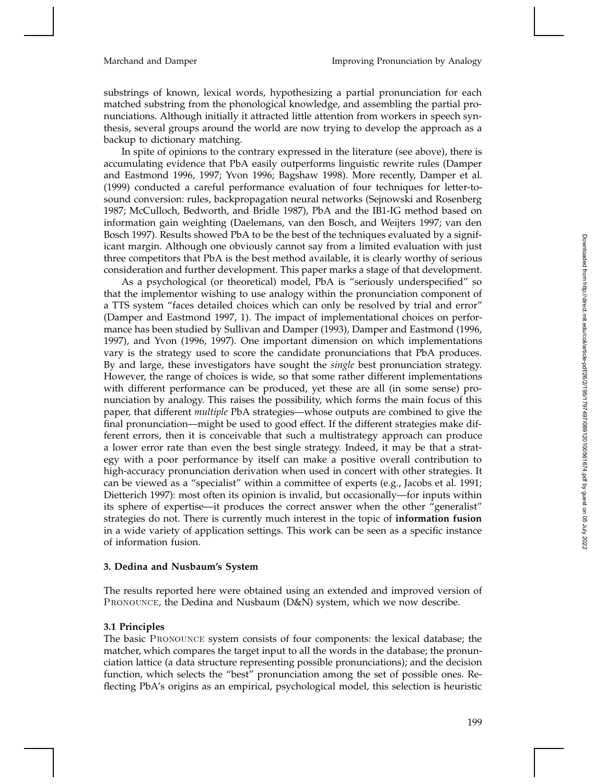substrings of known, lexical words, hypothesizing a partial pronunciation for each matched substring from the phonological knowledge, and assembling the partial pronunciations. Although initially it attracted little attention from workers in speech synthesis, several groups around the world are now trying to develop the approach as a backup to dictionary matching.

In spite of opinions to the contrary expressed in the literature (see above), there is accumulating evidence that PbA easily outperforms linguistic rewrite rules (Damper and Eastmond 1996, 1997; Yvon 1996; Bagshaw 1998). More recently, Damper et al. (1999) conducted a careful performance evaluation of four techniques for letter-tosound conversion: rules, backpropagation neural networks (Sejnowski and Rosenberg 1987; McCulloch, Bedworth, and Bridle 1987), PbA and the IB1-IG method based on information gain weighting (Daelemans, van den Bosch, and Weijters 1997; van den Bosch 1997). Results showed PbA to be the best of the techniques evaluated by a significant margin. Although one obviously cannot say from a limited evaluation with just three competitors that PbA is the best method available, it is clearly worthy of serious consideration and further development. This paper marks a stage of that development.

As a psychological (or theoretical) model, PbA is "seriously underspecified" so that the implementor wishing to use analogy within the pronunciation component of a TTS system "faces detailed choices which can only be resolved by trial and error" (Damper and Eastmond 1997, 1). The impact of implementational choices on performance has been studied by Sullivan and Damper (1993), Damper and Eastmond (1996, 1997), and Yvon (1996, 1997). One important dimension on which implementations vary is the strategy used to score the candidate pronunciations that PbA produces. By and large, these investigators have sought the *single* best pronunciation strategy. However, the range of choices is wide, so that some rather different implementations with different performance can be produced, yet these are all (in some sense) pronunciation by analogy. This raises the possibility, which forms the main focus of this paper, that different *multiple* PbA strategies—whose outputs are combined to give the final pronunciation—might be used to good effect. If the different strategies make different errors, then it is conceivable that such a multistrategy approach can produce a lower error rate than even the best single strategy. Indeed, it may be that a strategy with a poor performance by itself can make a positive overall contribution to high-accuracy pronunciation derivation when used in concert with other strategies. It can be viewed as a "specialist" within a committee of experts (e.g., Jacobs et al. 1991; Dietterich 1997): most often its opinion is invalid, but occasionally—for inputs within its sphere of expertise—it produces the correct answer when the other "generalist" strategies do not. There is currently much interest in the topic of **information fusion** in a wide variety of application settings. This work can be seen as a specific instance of information fusion.

#### **3. Dedina and Nusbaum's System**

The results reported here were obtained using an extended and improved version of Pronounce, the Dedina and Nusbaum (D&N) system, which we now describe.

#### **3.1 Principles**

The basic Pronounce system consists of four components: the lexical database; the matcher, which compares the target input to all the words in the database; the pronunciation lattice (a data structure representing possible pronunciations); and the decision function, which selects the "best" pronunciation among the set of possible ones. Reflecting PbA's origins as an empirical, psychological model, this selection is heuristic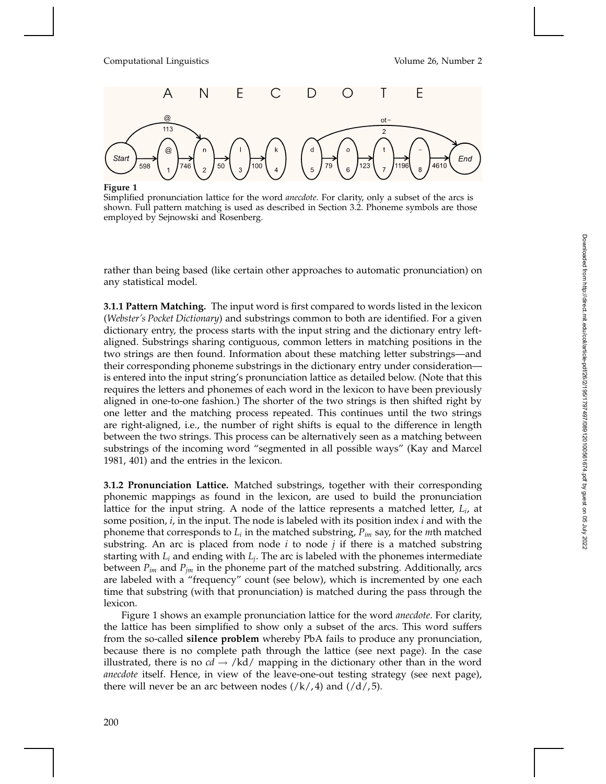

**Figure 1**

Simplified pronunciation lattice for the word *anecdote*. For clarity, only a subset of the arcs is shown. Full pattern matching is used as described in Section 3.2. Phoneme symbols are those employed by Sejnowski and Rosenberg.

rather than being based (like certain other approaches to automatic pronunciation) on any statistical model.

**3.1.1 Pattern Matching.** The input word is first compared to words listed in the lexicon (*Webster's Pocket Dictionary*) and substrings common to both are identified. For a given dictionary entry, the process starts with the input string and the dictionary entry leftaligned. Substrings sharing contiguous, common letters in matching positions in the two strings are then found. Information about these matching letter substrings—and their corresponding phoneme substrings in the dictionary entry under consideration is entered into the input string's pronunciation lattice as detailed below. (Note that this requires the letters and phonemes of each word in the lexicon to have been previously aligned in one-to-one fashion.) The shorter of the two strings is then shifted right by one letter and the matching process repeated. This continues until the two strings are right-aligned, i.e., the number of right shifts is equal to the difference in length between the two strings. This process can be alternatively seen as a matching between substrings of the incoming word "segmented in all possible ways" (Kay and Marcel 1981, 401) and the entries in the lexicon.

**3.1.2 Pronunciation Lattice.** Matched substrings, together with their corresponding phonemic mappings as found in the lexicon, are used to build the pronunciation lattice for the input string. A node of the lattice represents a matched letter, *Li*, at some position, *i*, in the input. The node is labeled with its position index *i* and with the phoneme that corresponds to *Li* in the matched substring, *Pim* say, for the *m*th matched substring. An arc is placed from node  $i$  to node  $j$  if there is a matched substring starting with *Li* and ending with *Lj*. The arc is labeled with the phonemes intermediate between *Pim* and *Pjm* in the phoneme part of the matched substring. Additionally, arcs are labeled with a "frequency" count (see below), which is incremented by one each time that substring (with that pronunciation) is matched during the pass through the lexicon.

Figure 1 shows an example pronunciation lattice for the word *anecdote*. For clarity, the lattice has been simplified to show only a subset of the arcs. This word suffers from the so-called **silence problem** whereby PbA fails to produce any pronunciation, because there is no complete path through the lattice (see next page). In the case illustrated, there is no  $cd \rightarrow /kd/$  mapping in the dictionary other than in the word *anecdote* itself. Hence, in view of the leave-one-out testing strategy (see next page), there will never be an arc between nodes  $(\frac{k}{4}, 4)$  and  $(\frac{d}{5})$ .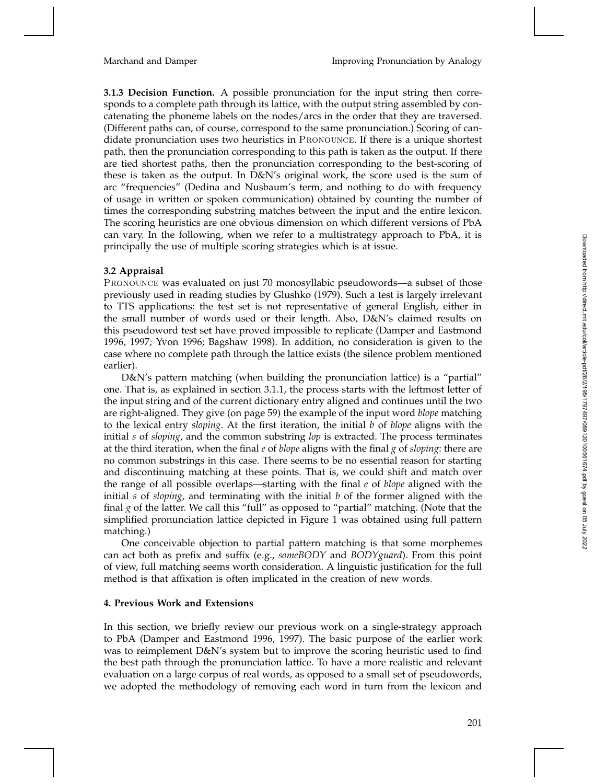**3.1.3 Decision Function.** A possible pronunciation for the input string then corresponds to a complete path through its lattice, with the output string assembled by concatenating the phoneme labels on the nodes/arcs in the order that they are traversed. (Different paths can, of course, correspond to the same pronunciation.) Scoring of candidate pronunciation uses two heuristics in Pronounce. If there is a unique shortest path, then the pronunciation corresponding to this path is taken as the output. If there are tied shortest paths, then the pronunciation corresponding to the best-scoring of these is taken as the output. In D&N's original work, the score used is the sum of arc "frequencies" (Dedina and Nusbaum's term, and nothing to do with frequency of usage in written or spoken communication) obtained by counting the number of times the corresponding substring matches between the input and the entire lexicon. The scoring heuristics are one obvious dimension on which different versions of PbA can vary. In the following, when we refer to a multistrategy approach to PbA, it is principally the use of multiple scoring strategies which is at issue.

#### **3.2 Appraisal**

Pronounce was evaluated on just 70 monosyllabic pseudowords—a subset of those previously used in reading studies by Glushko (1979). Such a test is largely irrelevant to TTS applications: the test set is not representative of general English, either in the small number of words used or their length. Also, D&N's claimed results on this pseudoword test set have proved impossible to replicate (Damper and Eastmond 1996, 1997; Yvon 1996; Bagshaw 1998). In addition, no consideration is given to the case where no complete path through the lattice exists (the silence problem mentioned earlier).

D&N's pattern matching (when building the pronunciation lattice) is a "partial" one. That is, as explained in section 3.1.1, the process starts with the leftmost letter of the input string and of the current dictionary entry aligned and continues until the two are right-aligned. They give (on page 59) the example of the input word *blope* matching to the lexical entry *sloping*. At the first iteration, the initial *b* of *blope* aligns with the initial *s* of *sloping*, and the common substring *lop* is extracted. The process terminates at the third iteration, when the final *e* of *blope* aligns with the final *g* of *sloping*: there are no common substrings in this case. There seems to be no essential reason for starting and discontinuing matching at these points. That is, we could shift and match over the range of all possible overlaps—starting with the final *e* of *blope* aligned with the initial *s* of *sloping*, and terminating with the initial *b* of the former aligned with the final *g* of the latter. We call this "full" as opposed to "partial" matching. (Note that the simplified pronunciation lattice depicted in Figure 1 was obtained using full pattern matching.)

One conceivable objection to partial pattern matching is that some morphemes can act both as prefix and suffix (e.g., *someBODY* and *BODYguard*). From this point of view, full matching seems worth consideration. A linguistic justification for the full method is that affixation is often implicated in the creation of new words.

# **4. Previous Work and Extensions**

In this section, we briefly review our previous work on a single-strategy approach to PbA (Damper and Eastmond 1996, 1997). The basic purpose of the earlier work was to reimplement D&N's system but to improve the scoring heuristic used to find the best path through the pronunciation lattice. To have a more realistic and relevant evaluation on a large corpus of real words, as opposed to a small set of pseudowords, we adopted the methodology of removing each word in turn from the lexicon and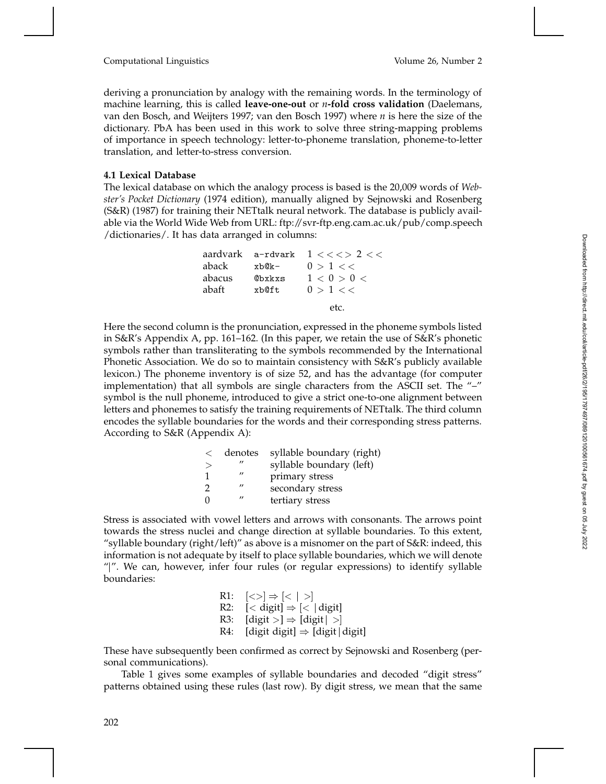Computational Linguistics Volume 26, Number 2

deriving a pronunciation by analogy with the remaining words. In the terminology of machine learning, this is called **leave-one-out** or *n***-fold cross validation** (Daelemans, van den Bosch, and Weijters 1997; van den Bosch 1997) where *n* is here the size of the dictionary. PbA has been used in this work to solve three string-mapping problems of importance in speech technology: letter-to-phoneme translation, phoneme-to-letter translation, and letter-to-stress conversion.

# **4.1 Lexical Database**

The lexical database on which the analogy process is based is the 20,009 words of *Webster's Pocket Dictionary* (1974 edition), manually aligned by Sejnowski and Rosenberg (S&R) (1987) for training their NETtalk neural network. The database is publicly available via the World Wide Web from URL: ftp://svr-ftp.eng.cam.ac.uk/pub/comp.speech /dictionaries/. It has data arranged in columns:

> aardvark a-rdvark 1 <<<> 2 < < aback xb@k- $0 > 1 <<$ abacus @bxkxs  $1 < 0 > 0 < 1$ the contract of the contract of the contract of the contract of the contract of the contract of the contract of the contract of the contract of the contract of the contract of the contract of the contract of the contract o abaft  $x$ b@ft  $0 > 1 <$ etc.

Here the second column is the pronunciation, expressed in the phoneme symbols listed in S&R's Appendix A, pp. 161–162. (In this paper, we retain the use of S&R's phonetic symbols rather than transliterating to the symbols recommended by the International Phonetic Association. We do so to maintain consistency with S&R's publicly available lexicon.) The phoneme inventory is of size 52, and has the advantage (for computer implementation) that all symbols are single characters from the ASCII set. The "–" symbol is the null phoneme, introduced to give a strict one-to-one alignment between letters and phonemes to satisfy the training requirements of NETtalk. The third column encodes the syllable boundaries for the words and their corresponding stress patterns. According to S&R (Appendix A):

| $\lt$ | denotes           | syllable boundary (right) |
|-------|-------------------|---------------------------|
| ゝ     | ,,                | syllable boundary (left)  |
| 1     | $^{\prime\prime}$ | primary stress            |
| 2     | $^{\prime\prime}$ | secondary stress          |
| 0     | $^{\prime\prime}$ | tertiary stress           |

Stress is associated with vowel letters and arrows with consonants. The arrows point towards the stress nuclei and change direction at syllable boundaries. To this extent, "syllable boundary (right/left)" as above is a misnomer on the part of S&R: indeed, this information is not adequate by itself to place syllable boundaries, which we will denote "j". We can, however, infer four rules (or regular expressions) to identify syllable boundaries:

> R1:  $\left[ \langle > \right] \Rightarrow \left[ \langle \ | \ > \right]$ <sup>&</sup>gt;  $\blacksquare$  $R2$ :  $\langle$  digit  $\Rightarrow$   $\langle$  digit  $\rangle$ R3:  $[digit >] \Rightarrow [digit | >]$ <sup>&</sup>gt;  $\blacksquare$ R4: [digit digit]  $\Rightarrow$  [digit|digit]

These have subsequently been confirmed as correct by Sejnowski and Rosenberg (personal communications).

Table 1 gives some examples of syllable boundaries and decoded "digit stress" patterns obtained using these rules (last row). By digit stress, we mean that the same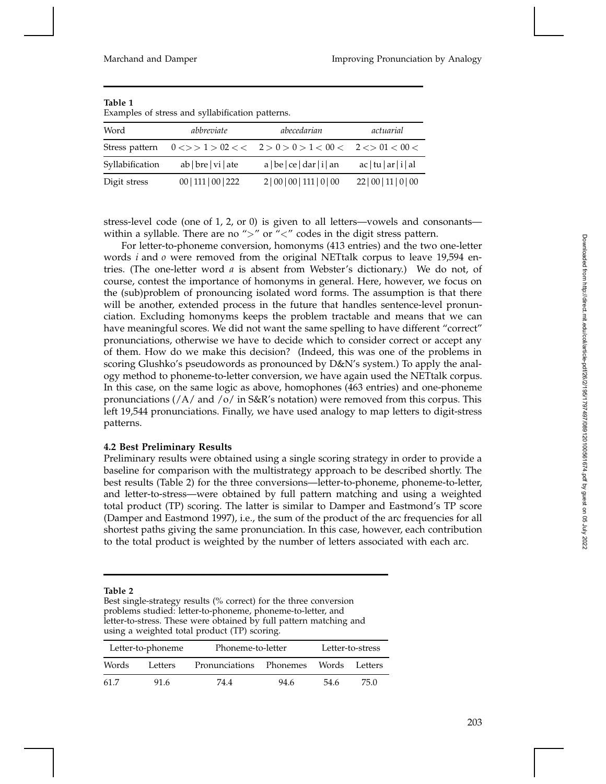| Table 1                                          |  |
|--------------------------------------------------|--|
| Examples of stress and syllabification patterns. |  |

| Word            | abbreviate                     | abecedarian                                                                      | actuarial             |
|-----------------|--------------------------------|----------------------------------------------------------------------------------|-----------------------|
|                 |                                | Stress pattern $0 \lt\gt> 1 > 02 < \lt$ $2 > 0 > 0 > 1 < 00 < 2 < 01 < 00 < \lt$ |                       |
| Syllabification | ab   bre   vi   ate            | a   be   ce   dar   i   an                                                       | ac   tu   ar   i   al |
| Digit stress    | $00 \mid 111 \mid 00 \mid 222$ | 2 00 00 111 0 00                                                                 | 22 00 11 0 00         |

stress-level code (one of 1, 2, or 0) is given to all letters—vowels and consonants within a syllable. There are no ">" or "<" codes in the digit stress pattern.

For letter-to-phoneme conversion, homonyms (413 entries) and the two one-letter words *i* and *o* were removed from the original NETtalk corpus to leave 19,594 entries. (The one-letter word *a* is absent from Webster's dictionary.) We do not, of course, contest the importance of homonyms in general. Here, however, we focus on the (sub)problem of pronouncing isolated word forms. The assumption is that there will be another, extended process in the future that handles sentence-level pronunciation. Excluding homonyms keeps the problem tractable and means that we can have meaningful scores. We did not want the same spelling to have different "correct" pronunciations, otherwise we have to decide which to consider correct or accept any of them. How do we make this decision? (Indeed, this was one of the problems in scoring Glushko's pseudowords as pronounced by D&N's system.) To apply the analogy method to phoneme-to-letter conversion, we have again used the NETtalk corpus. In this case, on the same logic as above, homophones (463 entries) and one-phoneme pronunciations ( $/A$  and  $\overline{}/o$  in S&R's notation) were removed from this corpus. This left 19,544 pronunciations. Finally, we have used analogy to map letters to digit-stress patterns.

# **4.2 Best Preliminary Results**

Preliminary results were obtained using a single scoring strategy in order to provide a baseline for comparison with the multistrategy approach to be described shortly. The best results (Table 2) for the three conversions—letter-to-phoneme, phoneme-to-letter, and letter-to-stress—were obtained by full pattern matching and using a weighted total product (TP) scoring. The latter is similar to Damper and Eastmond's TP score (Damper and Eastmond 1997), i.e., the sum of the product of the arc frequencies for all shortest paths giving the same pronunciation. In this case, however, each contribution to the total product is weighted by the number of letters associated with each arc.

**Table 2**

Best single-strategy results (% correct) for the three conversion problems studied: letter-to-phoneme, phoneme-to-letter, and letter-to-stress. These were obtained by full pattern matching and using a weighted total product (TP) scoring.

| Letter-to-phoneme |                                                  | Phoneme-to-letter | Letter-to-stress |      |      |
|-------------------|--------------------------------------------------|-------------------|------------------|------|------|
| Words             | Pronunciations Phonemes Words Letters<br>Letters |                   |                  |      |      |
| 61.7              | 91.6                                             | 74.4              | 94.6             | 54.6 | 75 O |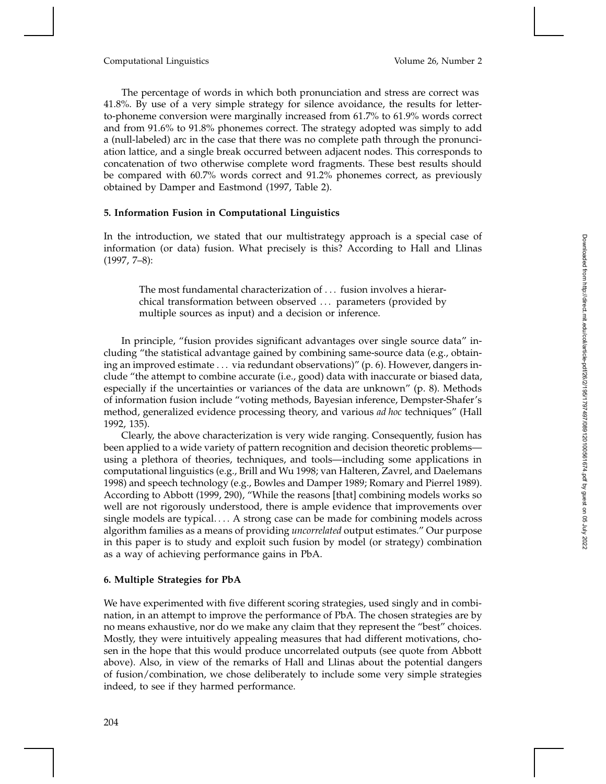The percentage of words in which both pronunciation and stress are correct was 41.8%. By use of a very simple strategy for silence avoidance, the results for letterto-phoneme conversion were marginally increased from 61.7% to 61.9% words correct and from 91.6% to 91.8% phonemes correct. The strategy adopted was simply to add a (null-labeled) arc in the case that there was no complete path through the pronunciation lattice, and a single break occurred between adjacent nodes. This corresponds to concatenation of two otherwise complete word fragments. These best results should be compared with 60.7% words correct and 91.2% phonemes correct, as previously obtained by Damper and Eastmond (1997, Table 2).

#### **5. Information Fusion in Computational Linguistics**

In the introduction, we stated that our multistrategy approach is a special case of information (or data) fusion. What precisely is this? According to Hall and Llinas (1997, 7–8):

The most fundamental characterization of ::: fusion involves a hierarchical transformation between observed ::: parameters (provided by multiple sources as input) and a decision or inference.

In principle, "fusion provides significant advantages over single source data" including "the statistical advantage gained by combining same-source data (e.g., obtaining an improved estimate ... via redundant observations)" (p. 6). However, dangers include "the attempt to combine accurate (i.e., good) data with inaccurate or biased data, especially if the uncertainties or variances of the data are unknown" (p. 8). Methods of information fusion include "voting methods, Bayesian inference, Dempster-Shafer's method, generalized evidence processing theory, and various *ad hoc* techniques" (Hall 1992, 135).

Clearly, the above characterization is very wide ranging. Consequently, fusion has been applied to a wide variety of pattern recognition and decision theoretic problems using a plethora of theories, techniques, and tools—including some applications in computational linguistics (e.g., Brill and Wu 1998; van Halteren, Zavrel, and Daelemans 1998) and speech technology (e.g., Bowles and Damper 1989; Romary and Pierrel 1989). According to Abbott (1999, 290), "While the reasons [that] combining models works so well are not rigorously understood, there is ample evidence that improvements over single models are typical.... A strong case can be made for combining models across algorithm families as a means of providing *uncorrelated* output estimates." Our purpose in this paper is to study and exploit such fusion by model (or strategy) combination as a way of achieving performance gains in PbA.

#### **6. Multiple Strategies for PbA**

We have experimented with five different scoring strategies, used singly and in combination, in an attempt to improve the performance of PbA. The chosen strategies are by no means exhaustive, nor do we make any claim that they represent the "best" choices. Mostly, they were intuitively appealing measures that had different motivations, chosen in the hope that this would produce uncorrelated outputs (see quote from Abbott above). Also, in view of the remarks of Hall and Llinas about the potential dangers of fusion/combination, we chose deliberately to include some very simple strategies indeed, to see if they harmed performance.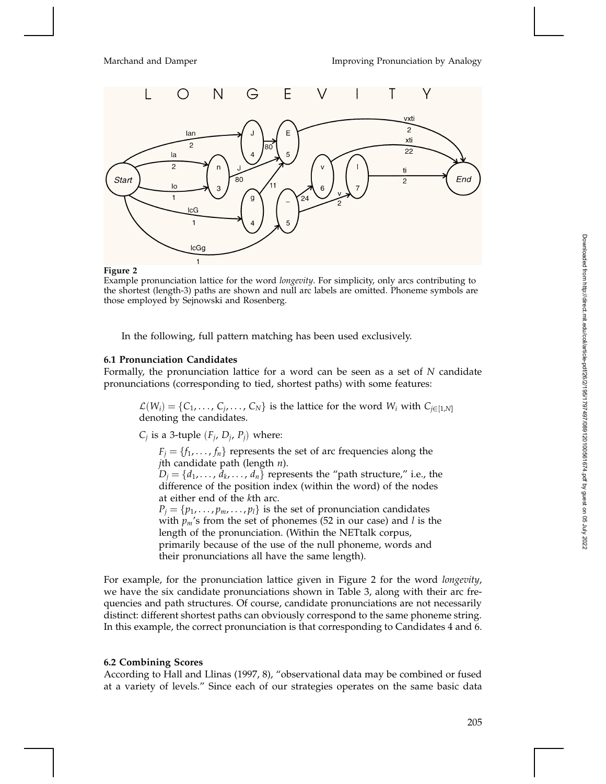

#### **Figure 2**

Example pronunciation lattice for the word *longevity*. For simplicity, only arcs contributing to the shortest (length-3) paths are shown and null arc labels are omitted. Phoneme symbols are those employed by Sejnowski and Rosenberg.

In the following, full pattern matching has been used exclusively.

# **6.1 Pronunciation Candidates**

Formally, the pronunciation lattice for a word can be seen as a set of *N* candidate pronunciations (corresponding to tied, shortest paths) with some features:

 $\mathcal{L}(W_i) = \{C_1, \ldots, C_j, \ldots, C_N\}$  is the lattice for the word  $W_i$  with  $C_{j \in [1,N]}$ denoting the candidates.

 $C_i$  is a 3-tuple  $(F_i, D_i, P_j)$  where:

 $F_i = \{f_1, \ldots, f_n\}$  represents the set of arc frequencies along the *j*th candidate path (length *n*).

 $D_j = \{d_1, \ldots, d_k, \ldots, d_n\}$  represents the "path structure," i.e., the difference of the position index (within the word) of the nodes at either end of the *k*th arc.

 $P_j = \{p_1, \ldots, p_m, \ldots, p_l\}$  is the set of pronunciation candidates with *pm*'s from the set of phonemes (52 in our case) and *l* is the length of the pronunciation. (Within the NETtalk corpus, primarily because of the use of the null phoneme, words and their pronunciations all have the same length).

For example, for the pronunciation lattice given in Figure 2 for the word *longevity*, we have the six candidate pronunciations shown in Table 3, along with their arc frequencies and path structures. Of course, candidate pronunciations are not necessarily distinct: different shortest paths can obviously correspond to the same phoneme string. In this example, the correct pronunciation is that corresponding to Candidates 4 and 6.

## **6.2 Combining Scores**

According to Hall and Llinas (1997, 8), "observational data may be combined or fused at a variety of levels." Since each of our strategies operates on the same basic data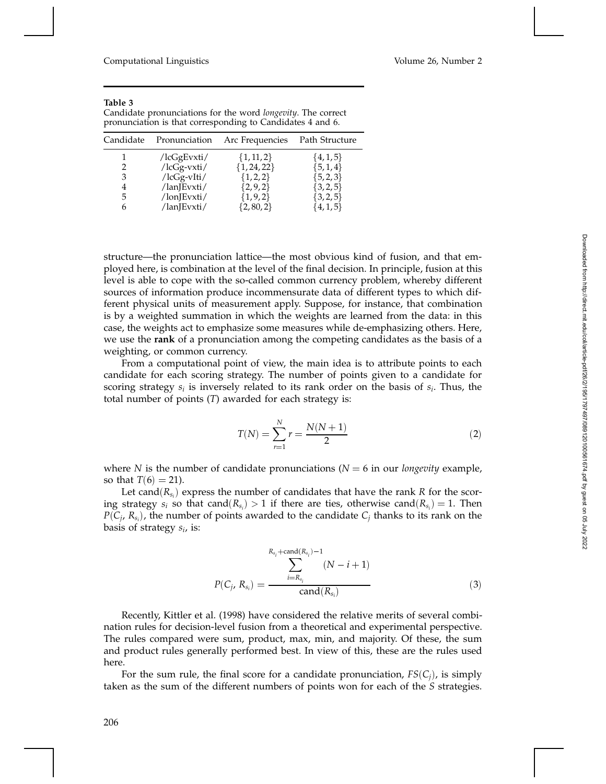| Candidate | Pronunciation  | Arc Frequencies | Path Structure |
|-----------|----------------|-----------------|----------------|
|           | /lcGgEvxti/    | $\{1, 11, 2\}$  | $\{4,1,5\}$    |
| 2         | $/lcGg$ -vxti/ | $\{1, 24, 22\}$ | $\{5, 1, 4\}$  |
| 3         | /lcGg-vIti/    | ${1,2,2}$       | $\{5, 2, 3\}$  |
| 4         | /lanJEvxti/    | ${2, 9, 2}$     | $\{3, 2, 5\}$  |
| 5         | /lonJEvxti/    | ${1, 9, 2}$     | $\{3, 2, 5\}$  |
|           | /lanJEvxti/    | $\{2, 80, 2\}$  | 4, 1, 5        |

| Candidate pronunciations for the word longevity. The correct |  |
|--------------------------------------------------------------|--|
| pronunciation is that corresponding to Candidates 4 and 6.   |  |

structure—the pronunciation lattice—the most obvious kind of fusion, and that employed here, is combination at the level of the final decision. In principle, fusion at this level is able to cope with the so-called common currency problem, whereby different sources of information produce incommensurate data of different types to which different physical units of measurement apply. Suppose, for instance, that combination is by a weighted summation in which the weights are learned from the data: in this case, the weights act to emphasize some measures while de-emphasizing others. Here, we use the **rank** of a pronunciation among the competing candidates as the basis of a weighting, or common currency.

From a computational point of view, the main idea is to attribute points to each candidate for each scoring strategy. The number of points given to a candidate for scoring strategy *si* is inversely related to its rank order on the basis of *si*. Thus, the total number of points (*T*) awarded for each strategy is:

$$
T(N) = \sum_{r=1}^{N} r = \frac{N(N+1)}{2}
$$
 (2)

where *N* is the number of candidate pronunciations ( $N = 6$  in our *longevity* example, so that  $T(6) = 21$ ).

Let cand( $R_{s_i}$ ) express the number of candidates that have the rank  $R$  for the scoring strategy  $s_i$  so that cand( $R_{s_i}$ ) > 1 if there are ties, otherwise cand( $R_{s_i}$ ) = 1. Then  $P(C_i, R_{s_i})$ , the number of points awarded to the candidate  $C_i$  thanks to its rank on the basis of strategy *si*, is:

$$
P(C_j, R_{s_i}) = \frac{\sum_{i=R_{s_i}}^{R_{s_i} + \text{cand}(R_{s_i}) - 1} (N - i + 1)}{\text{cand}(R_{s_i})}
$$
(3)

Recently, Kittler et al. (1998) have considered the relative merits of several combination rules for decision-level fusion from a theoretical and experimental perspective. The rules compared were sum, product, max, min, and majority. Of these, the sum and product rules generally performed best. In view of this, these are the rules used here.

For the sum rule, the final score for a candidate pronunciation,  $FS(C_i)$ , is simply taken as the sum of the different numbers of points won for each of the *S* strategies.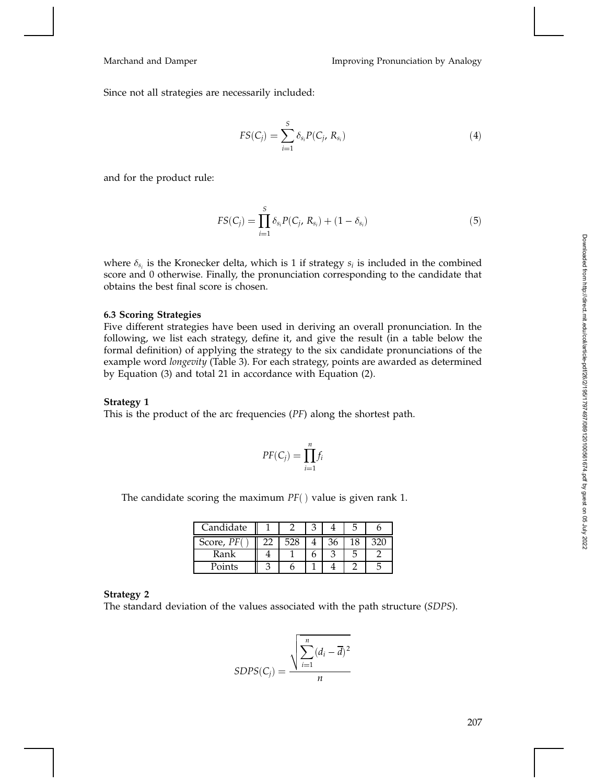Since not all strategies are necessarily included:

$$
FS(C_j) = \sum_{i=1}^{S} \delta_{s_i} P(C_j, R_{s_i})
$$
\n(4)

and for the product rule:

$$
FS(C_j) = \prod_{i=1}^{S} \delta_{s_i} P(C_j, R_{s_i}) + (1 - \delta_{s_i})
$$
\n(5)

where  $\delta_{s_i}$  is the Kronecker delta, which is 1 if strategy  $s_i$  is included in the combined score and 0 otherwise. Finally, the pronunciation corresponding to the candidate that obtains the best final score is chosen.

# **6.3 Scoring Strategies**

Five different strategies have been used in deriving an overall pronunciation. In the following, we list each strategy, define it, and give the result (in a table below the formal definition) of applying the strategy to the six candidate pronunciations of the example word *longevity* (Table 3). For each strategy, points are awarded as determined by Equation (3) and total 21 in accordance with Equation (2).

# **Strategy 1**

This is the product of the arc frequencies (*PF*) along the shortest path.

$$
PF(C_j) = \prod_{i=1}^n f_i
$$

The candidate scoring the maximum *PF*( ) value is given rank 1.

| Candidate |     |  |  |
|-----------|-----|--|--|
| Score, PF | 528 |  |  |
| Rank      |     |  |  |
| Points    |     |  |  |

# **Strategy 2**

The standard deviation of the values associated with the path structure (*SDPS*).

$$
SDPS(C_j) = \frac{\sqrt{\sum_{i=1}^{n} (d_i - \overline{d})^2}}{n}
$$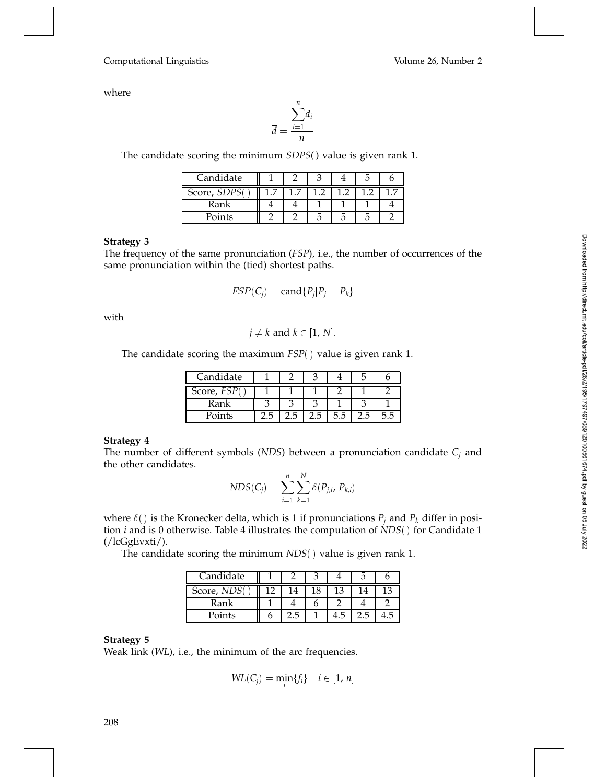Computational Linguistics Volume 26, Number 2

where

$$
\overline{d} = \frac{\sum_{i=1}^{n} d_i}{n}
$$

The candidate scoring the minimum *SDPS*( ) value is given rank 1.

| Candidate   |  |  |  |
|-------------|--|--|--|
| Score, SDPS |  |  |  |
| Rank        |  |  |  |
| Points      |  |  |  |

# **Strategy 3**

The frequency of the same pronunciation (*FSP*), i.e., the number of occurrences of the same pronunciation within the (tied) shortest paths.

$$
FSP(C_j) = \text{cand}\{P_j | P_j = P_k\}
$$

with

 $j \neq k$  and  $k \in [1, N]$ .

The candidate scoring the maximum *FSP*( ) value is given rank 1.

| Candidate  |  |     |  |
|------------|--|-----|--|
| Score, FSP |  |     |  |
| Rank       |  |     |  |
| Points     |  | 5.5 |  |

# **Strategy 4**

The number of different symbols (*NDS*) between a pronunciation candidate *Cj* and the other candidates.

$$
NDS(C_j) = \sum_{i=1}^{n} \sum_{k=1}^{N} \delta(P_{j,i}, P_{k,i})
$$

where  $\delta()$  is the Kronecker delta, which is 1 if pronunciations  $P_j$  and  $P_k$  differ in position *i* and is 0 otherwise. Table 4 illustrates the computation of *NDS*( ) for Candidate 1 (/lcGgEvxti/).

The candidate scoring the minimum *NDS*( ) value is given rank 1.

| Candidate  |  |  |    |
|------------|--|--|----|
| Score, NDS |  |  | 13 |
| Rank       |  |  |    |
| Points     |  |  |    |

# **Strategy 5**

Weak link (*WL*), i.e., the minimum of the arc frequencies.

$$
WL(C_j) = \min_i \{f_i\} \quad i \in [1, n]
$$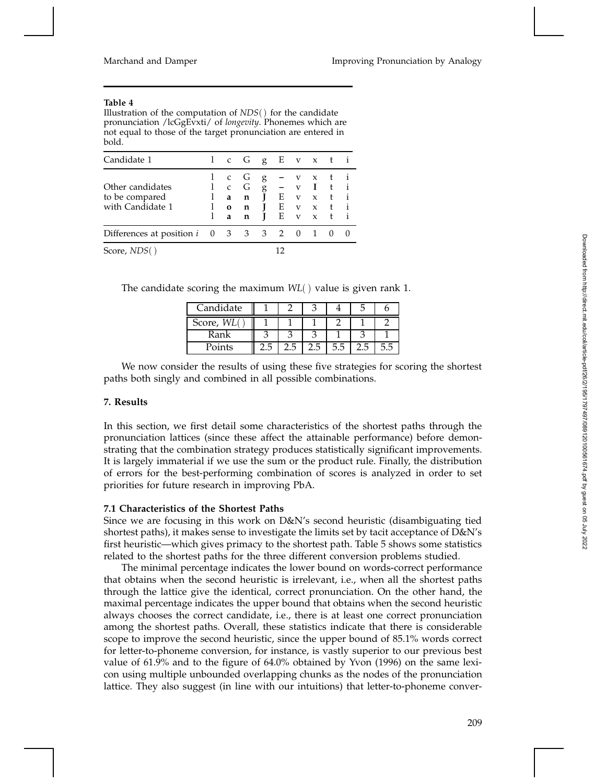Illustration of the computation of *NDS*( ) for the candidate pronunciation /lcGgEvxti/ of *longevity*. Phonemes which are not equal to those of the target pronunciation are entered in bold.

| Candidate 1                                            |              |                                           | $1 \quad c \quad G \quad g$ |             |       |                                     | E v x t i                                                 |           |                                                |
|--------------------------------------------------------|--------------|-------------------------------------------|-----------------------------|-------------|-------|-------------------------------------|-----------------------------------------------------------|-----------|------------------------------------------------|
| Other candidates<br>to be compared<br>with Candidate 1 | $\mathbf{L}$ | c G<br>$\mathbf{C}$<br>a<br>$\Omega$<br>a | G<br>n<br>n<br>n            | g<br>g<br>L | Е     | $-$ v<br>E v<br>E v<br>$\mathbf{V}$ | x t<br>– v I t i<br>$\mathbf{x}$<br>$\mathbf{x}$<br>$x$ t | t<br>$-t$ | $\blacksquare$<br>$\mathbf{i}$<br>$\mathbf{i}$ |
| Differences at position $i \quad 0$                    |              | $\overline{\mathbf{3}}$                   |                             |             | 3 3 2 | - 0                                 |                                                           |           |                                                |
| Score, NDS                                             |              |                                           |                             |             |       |                                     |                                                           |           |                                                |

The candidate scoring the maximum *WL*( ) value is given rank 1.

| Candidate |  |     |  |
|-----------|--|-----|--|
| Score, WL |  |     |  |
| Rank      |  |     |  |
| Points    |  | 5.5 |  |

We now consider the results of using these five strategies for scoring the shortest paths both singly and combined in all possible combinations.

# **7. Results**

In this section, we first detail some characteristics of the shortest paths through the pronunciation lattices (since these affect the attainable performance) before demonstrating that the combination strategy produces statistically significant improvements. It is largely immaterial if we use the sum or the product rule. Finally, the distribution of errors for the best-performing combination of scores is analyzed in order to set priorities for future research in improving PbA.

#### **7.1 Characteristics of the Shortest Paths**

Since we are focusing in this work on D&N's second heuristic (disambiguating tied shortest paths), it makes sense to investigate the limits set by tacit acceptance of  $D&N's$ first heuristic—which gives primacy to the shortest path. Table 5 shows some statistics related to the shortest paths for the three different conversion problems studied.

The minimal percentage indicates the lower bound on words-correct performance that obtains when the second heuristic is irrelevant, i.e., when all the shortest paths through the lattice give the identical, correct pronunciation. On the other hand, the maximal percentage indicates the upper bound that obtains when the second heuristic always chooses the correct candidate, i.e., there is at least one correct pronunciation among the shortest paths. Overall, these statistics indicate that there is considerable scope to improve the second heuristic, since the upper bound of 85.1% words correct for letter-to-phoneme conversion, for instance, is vastly superior to our previous best value of 61.9% and to the figure of 64.0% obtained by Yvon (1996) on the same lexicon using multiple unbounded overlapping chunks as the nodes of the pronunciation lattice. They also suggest (in line with our intuitions) that letter-to-phoneme conver-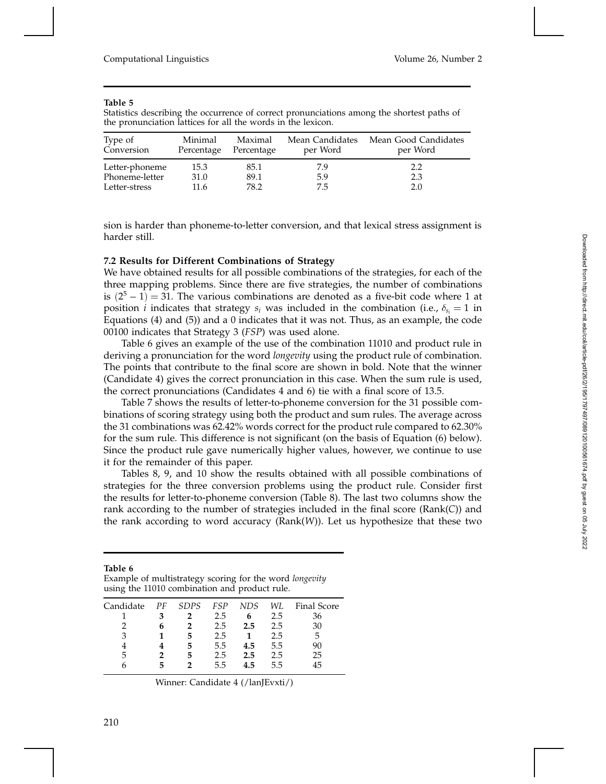Statistics describing the occurrence of correct pronunciations among the shortest paths of the pronunciation lattices for all the words in the lexicon.

| Type of        | Minimal    | Maximal    | Mean Candidates | Mean Good Candidates |
|----------------|------------|------------|-----------------|----------------------|
| Conversion     | Percentage | Percentage | per Word        | per Word             |
| Letter-phoneme | 15.3       | 85.1       | 7.9             | 2.2                  |
| Phoneme-letter | 31.0       | 89.1       | 5.9             | 2.3                  |
| Letter-stress  | 11.6       | 78.2       | 7.5             | 2.0                  |

sion is harder than phoneme-to-letter conversion, and that lexical stress assignment is harder still.

# **7.2 Results for Different Combinations of Strategy**

We have obtained results for all possible combinations of the strategies, for each of the three mapping problems. Since there are five strategies, the number of combinations is  $(2<sup>5</sup> - 1) = 31$ . The various combinations are denoted as a five-bit code where 1 at Equations (4) and (5)) and a 0 indicates that it was not. Thus, as an example, the code 00100 indicates that Strategy 3 (*FSP*) was used alone.

Table 6 gives an example of the use of the combination 11010 and product rule in deriving a pronunciation for the word *longevity* using the product rule of combination. The points that contribute to the final score are shown in bold. Note that the winner (Candidate 4) gives the correct pronunciation in this case. When the sum rule is used, the correct pronunciations (Candidates 4 and 6) tie with a final score of 13.5.

harder still.<br>The Results for Different Combinations of Strategy<br>
We have obtained results for all possible combinations of the strategies, for each of the<br>
three mapping problems. Since there are five strategies, the numb Table 7 shows the results of letter-to-phoneme conversion for the 31 possible combinations of scoring strategy using both the product and sum rules. The average across the 31 combinations was 62.42% words correct for the product rule compared to 62.30% for the sum rule. This difference is not significant (on the basis of Equation (6) below). Since the product rule gave numerically higher values, however, we continue to use it for the remainder of this paper.

Tables 8, 9, and 10 show the results obtained with all possible combinations of strategies for the three conversion problems using the product rule. Consider first the results for letter-to-phoneme conversion (Table 8). The last two columns show the rank according to the number of strategies included in the final score (Rank(*C*)) and the rank according to word accuracy  $(Rank(W))$ . Let us hypothesize that these two

| abie<br>n | ֚֚֡֡֡֡֡֡֡ |
|-----------|-----------|
|-----------|-----------|

Example of multistrategy scoring for the word *longevity* using the 11010 combination and product rule.

| Candidate | PF | SDPS | FSP | NDS. | WL  | <b>Final Score</b> |
|-----------|----|------|-----|------|-----|--------------------|
|           |    |      | 2.5 | h    | 2.5 | 36                 |
|           | h  | ,    | 2.5 | 2.5  | 2.5 | 30                 |
| З         |    | 5    | 2.5 |      | 2.5 | 5                  |
|           |    | 5    | 5.5 | 4.5  | 5.5 | 90                 |
| 5         |    | 5    | 2.5 | 2.5  | 2.5 | 25                 |
|           | 5  |      | 5.5 | 4.5  | 5.5 | 15                 |
|           |    |      |     |      |     |                    |

Winner: Candidate 4 (/lanJEvxti/)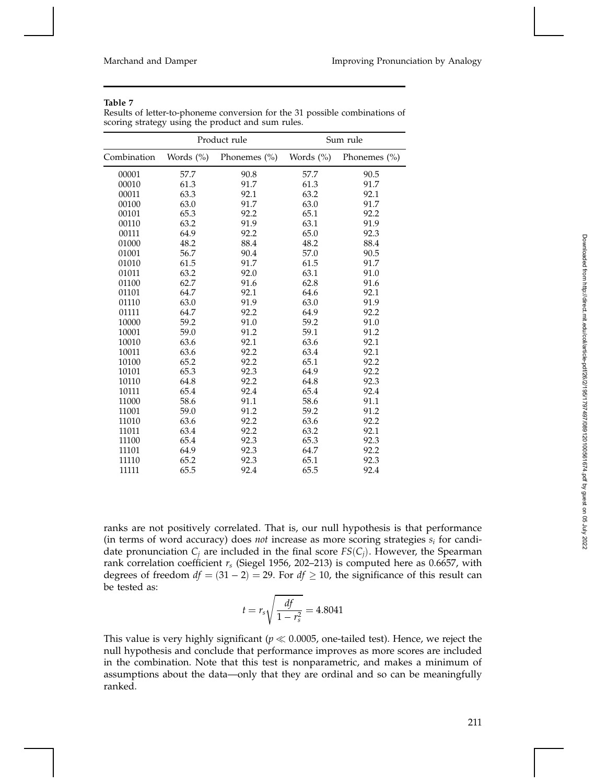| ٧<br>۰.<br>×<br>۹<br>٠ |  |
|------------------------|--|
|------------------------|--|

Results of letter-to-phoneme conversion for the 31 possible combinations of scoring strategy using the product and sum rules.

|             |           | Product rule     |           | Sum rule     |
|-------------|-----------|------------------|-----------|--------------|
| Combination | Words (%) | Phonemes $(\% )$ | Words (%) | Phonemes (%) |
| 00001       | 57.7      | 90.8             | 57.7      | 90.5         |
| 00010       | 61.3      | 91.7             | 61.3      | 91.7         |
| 00011       | 63.3      | 92.1             | 63.2      | 92.1         |
| 00100       | 63.0      | 91.7             | 63.0      | 91.7         |
| 00101       | 65.3      | 92.2             | 65.1      | 92.2         |
| 00110       | 63.2      | 91.9             | 63.1      | 91.9         |
| 00111       | 64.9      | 92.2             | 65.0      | 92.3         |
| 01000       | 48.2      | 88.4             | 48.2      | 88.4         |
| 01001       | 56.7      | 90.4             | 57.0      | 90.5         |
| 01010       | 61.5      | 91.7             | 61.5      | 91.7         |
| 01011       | 63.2      | 92.0             | 63.1      | 91.0         |
| 01100       | 62.7      | 91.6             | 62.8      | 91.6         |
| 01101       | 64.7      | 92.1             | 64.6      | 92.1         |
| 01110       | 63.0      | 91.9             | 63.0      | 91.9         |
| 01111       | 64.7      | 92.2             | 64.9      | 92.2         |
| 10000       | 59.2      | 91.0             | 59.2      | 91.0         |
| 10001       | 59.0      | 91.2             | 59.1      | 91.2         |
| 10010       | 63.6      | 92.1             | 63.6      | 92.1         |
| 10011       | 63.6      | 92.2             | 63.4      | 92.1         |
| 10100       | 65.2      | 92.2             | 65.1      | 92.2         |
| 10101       | 65.3      | 92.3             | 64.9      | 92.2         |
| 10110       | 64.8      | 92.2             | 64.8      | 92.3         |
| 10111       | 65.4      | 92.4             | 65.4      | 92.4         |
| 11000       | 58.6      | 91.1             | 58.6      | 91.1         |
| 11001       | 59.0      | 91.2             | 59.2      | 91.2         |
| 11010       | 63.6      | 92.2             | 63.6      | 92.2         |
| 11011       | 63.4      | 92.2             | 63.2      | 92.1         |
| 11100       | 65.4      | 92.3             | 65.3      | 92.3         |
| 11101       | 64.9      | 92.3             | 64.7      | 92.2         |
| 11110       | 65.2      | 92.3             | 65.1      | 92.3         |
| 11111       | 65.5      | 92.4             | 65.5      | 92.4         |

ranks are not positively correlated. That is, our null hypothesis is that performance (in terms of word accuracy) does *not* increase as more scoring strategies *si* for candidate pronunciation  $C_i$  are included in the final score  $FS(C_i)$ . However, the Spearman rank correlation coefficient *rs* (Siegel 1956, 202–213) is computed here as 0.6657, with degrees of freedom  $df = (31 - 2) = 29$ . For  $df \ge 10$ , the significance of this result can be tested as:

$$
t=r_s\sqrt{\frac{df}{1-r_s^2}}=4.8041
$$

This value is very highly significant ( $p \ll 0.0005$ , one-tailed test). Hence, we reject the null hypothesis and conclude that performance improves as more scores are included in the combination. Note that this test is nonparametric, and makes a minimum of assumptions about the data—only that they are ordinal and so can be meaningfully ranked.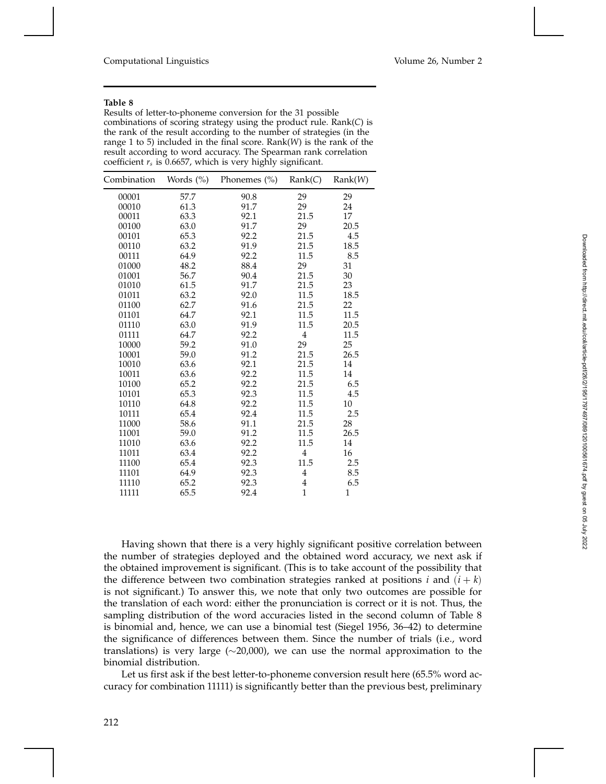Results of letter-to-phoneme conversion for the 31 possible combinations of scoring strategy using the product rule. Rank( *C*) is the rank of the result according to the number of strategies (in the range 1 to 5) included in the final score. Rank( *W*) is the rank of the result according to word accuracy. The Spearman rank correlation coefficient *r <sup>s</sup>* is 0.6657, which is very highly significant.

| Combination | Words $(\% )$ | Phonemes $(\% )$ | Rank(C)        | Rank(W)      |
|-------------|---------------|------------------|----------------|--------------|
| 00001       | 57.7          | 90.8             | 29             | 29           |
| 00010       | 61.3          | 91.7             | 29             | 24           |
| 00011       | 63.3          | 92.1             | 21.5           | 17           |
| 00100       | 63.0          | 91.7             | 29             | 20.5         |
| 00101       | 65.3          | 92.2             | 21.5           | 4.5          |
| 00110       | 63.2          | 91.9             | 21.5           | 18.5         |
| 00111       | 64.9          | 92.2             | 11.5           | 8.5          |
| 01000       | 48.2          | 88.4             | 29             | 31           |
| 01001       | 56.7          | 90.4             | 21.5           | 30           |
| 01010       | 61.5          | 91.7             | 21.5           | 23           |
| 01011       | 63.2          | 92.0             | 11.5           | 18.5         |
| 01100       | 62.7          | 91.6             | 21.5           | 22           |
| 01101       | 64.7          | 92.1             | 11.5           | 11.5         |
| 01110       | 63.0          | 91.9             | 11.5           | 20.5         |
| 01111       | 64.7          | 92.2             | $\overline{4}$ | 11.5         |
| 10000       | 59.2          | 91.0             | 29             | 25           |
| 10001       | 59.0          | 91.2             | 21.5           | 26.5         |
| 10010       | 63.6          | 92.1             | 21.5           | 14           |
| 10011       | 63.6          | 92.2             | 11.5           | 14           |
| 10100       | 65.2          | 92.2             | 21.5           | 6.5          |
| 10101       | 65.3          | 92.3             | 11.5           | 4.5          |
| 10110       | 64.8          | 92.2             | 11.5           | 10           |
| 10111       | 65.4          | 92.4             | 11.5           | 2.5          |
| 11000       | 58.6          | 91.1             | 21.5           | 28           |
| 11001       | 59.0          | 91.2             | 11.5           | 26.5         |
| 11010       | 63.6          | 92.2             | 11.5           | 14           |
| 11011       | 63.4          | 92.2             | $\overline{4}$ | 16           |
| 11100       | 65.4          | 92.3             | 11.5           | 2.5          |
| 11101       | 64.9          | 92.3             | 4              | 8.5          |
| 11110       | 65.2          | 92.3             | $\overline{4}$ | 6.5          |
| 11111       | 65.5          | 92.4             | $\mathbf{1}$   | $\mathbf{1}$ |

Having shown that there is a very highly significant positive correlation between the number of strategies deployed and the obtained word accuracy, we next ask if the obtained improvement is significant. (This is to take account of the possibility that the difference between two combination strategies ranked at positions  $i$  and  $(i + k)$  $\overline{\phantom{a}}$ is not significant.) To answer this, we note that only two outcomes are possible for the translation of each word: either the pronunciation is correct or it is not. Thus, the sampling distribution of the word accuracies listed in the second column of Table 8 is binomial and, hence, we can use a binomial test (Siegel 1956, 36–42) to determine the significance of differences between them. Since the number of trials (i.e., word translations) is very large ( 20,000), we can use the normal approximation to the binomial distribution.

Let us first ask if the best letter-to-phoneme conversion result here (65.5% word accuracy for combination 11111) is significantly better than the previous best, preliminary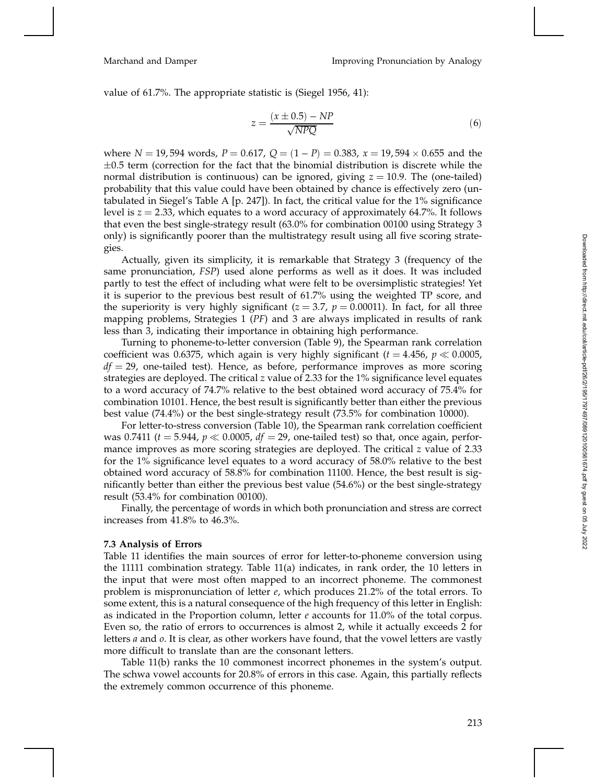value of 61.7%. The appropriate statistic is (Siegel 1956, 41):

$$
z = \frac{(x \pm 0.5) - NP}{\sqrt{NPQ}}\tag{6}
$$

where  $N = 19,594$  words,  $P = 0.617$ ,  $Q = (1 - P) = 0.383$ ,  $x = 19,594 \times 0.655$  and the  $\pm 0.5$  term (correction for the fact that the binomial distribution is discrete while the normal distribution is continuous) can be ignored, giving *z* <sup>=</sup> 10 :9. The (one-tailed) probability that this value could have been obtained by chance is effectively zero (untabulated in Siegel's Table A [p. 247]). In fact, the critical value for the 1% significance level is  $z = 2.33$ , which equates to a word accuracy of approximately 64.7%. It follows that even the best single-strategy result (63.0% for combination 00100 using Strategy 3 only) is significantly poorer than the multistrategy result using all five scoring strategies.

Actually, given its simplicity, it is remarkable that Strategy 3 (frequency of the same pronunciation, *FSP*) used alone performs as well as it does. It was included partly to test the effect of including what were felt to be oversimplistic strategies! Yet it is superior to the previous best result of 61.7% using the weighted TP score, and the superiority is very highly significant ( $z = 3.7$ ,  $p = 0.00011$ ). In fact, for all three mapping problems, Strategies 1 (*PF*) and 3 are always implicated in results of rank less than 3, indicating their importance in obtaining high performance.

Turning to phoneme-to-letter conversion (Table 9), the Spearman rank correlation coefficient was 0.6375, which again is very highly significant ( $t = 4.456$ ,  $p \ll 0.0005$ ,  $\frac{1}{8}$ *df* <sup>=</sup> 29, one-tailed test). Hence, as before, performance improves as more scoring strategies are deployed. The critical *z* value of 2.33 for the 1% significance level equates to a word accuracy of 74.7% relative to the best obtained word accuracy of 75.4% for combination 10101. Hence, the best result is significantly better than either the previous best value (74.4%) or the best single-strategy result (73.5% for combination 10000).

For letter-to-stress conversion (Table 10), the Spearman rank correlation coefficient was  $0.7411$  ( $t = 5.944$ ,  $p \ll 0.0005$ ,  $df = 29$ , one-tailed test) so that, once again, performance improves as more scoring strategies are deployed. The critical *z* value of 2.33 for the 1% significance level equates to a word accuracy of 58.0% relative to the best obtained word accuracy of 58.8% for combination 11100. Hence, the best result is significantly better than either the previous best value (54.6%) or the best single-strategy result (53.4% for combination 00100).

Finally, the percentage of words in which both pronunciation and stress are correct increases from 41.8% to 46.3%.

# **7.3 Analysis of Errors**

Table 11 identifies the main sources of error for letter-to-phoneme conversion using the 11111 combination strategy. Table 11(a) indicates, in rank order, the 10 letters in the input that were most often mapped to an incorrect phoneme. The commonest problem is mispronunciation of letter *e*, which produces 21.2% of the total errors. To some extent, this is a natural consequence of the high frequency of this letter in English: as indicated in the Proportion column, letter *e* accounts for 11.0% of the total corpus. Even so, the ratio of errors to occurrences is almost 2, while it actually exceeds 2 for letters *a* and *o*. It is clear, as other workers have found, that the vowel letters are vastly more difficult to translate than are the consonant letters.

Table 11(b) ranks the 10 commonest incorrect phonemes in the system's output. The schwa vowel accounts for 20.8% of errors in this case. Again, this partially reflects the extremely common occurrence of this phoneme.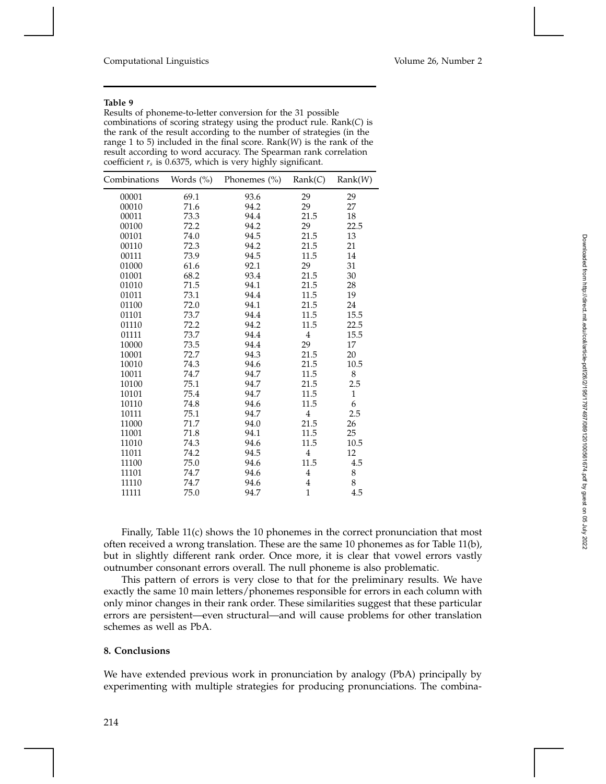Results of phoneme-to-letter conversion for the 31 possible combinations of scoring strategy using the product rule. Rank(*C*) is the rank of the result according to the number of strategies (in the range 1 to 5) included in the final score. Rank(*W*) is the rank of the result according to word accuracy. The Spearman rank correlation coefficient  $r_s$  is 0.6375, which is very highly significant.

| Combinations | Words (%) | Phonemes $(\% )$ | Rank(C)        | Rank(W)      |
|--------------|-----------|------------------|----------------|--------------|
| 00001        | 69.1      | 93.6             | 29             | 29           |
| 00010        | 71.6      | 94.2             | 29             | 27           |
| 00011        | 73.3      | 94.4             | 21.5           | 18           |
| 00100        | 72.2      | 94.2             | 29             | 22.5         |
| 00101        | 74.0      | 94.5             | 21.5           | 13           |
| 00110        | 72.3      | 94.2             | 21.5           | 21           |
| 00111        | 73.9      | 94.5             | 11.5           | 14           |
| 01000        | 61.6      | 92.1             | 29             | 31           |
| 01001        | 68.2      | 93.4             | 21.5           | 30           |
| 01010        | 71.5      | 94.1             | 21.5           | 28           |
| 01011        | 73.1      | 94.4             | 11.5           | 19           |
| 01100        | 72.0      | 94.1             | 21.5           | 24           |
| 01101        | 73.7      | 94.4             | 11.5           | 15.5         |
| 01110        | 72.2      | 94.2             | 11.5           | 22.5         |
| 01111        | 73.7      | 94.4             | $\overline{4}$ | 15.5         |
| 10000        | 73.5      | 94.4             | 29             | 17           |
| 10001        | 72.7      | 94.3             | 21.5           | 20           |
| 10010        | 74.3      | 94.6             | 21.5           | 10.5         |
| 10011        | 74.7      | 94.7             | 11.5           | 8            |
| 10100        | 75.1      | 94.7             | 21.5           | 2.5          |
| 10101        | 75.4      | 94.7             | 11.5           | $\mathbf{1}$ |
| 10110        | 74.8      | 94.6             | 11.5           | 6            |
| 10111        | 75.1      | 94.7             | $\overline{4}$ | 2.5          |
| 11000        | 71.7      | 94.0             | 21.5           | 26           |
| 11001        | 71.8      | 94.1             | 11.5           | 25           |
| 11010        | 74.3      | 94.6             | 11.5           | 10.5         |
| 11011        | 74.2      | 94.5             | $\overline{4}$ | 12           |
| 11100        | 75.0      | 94.6             | 11.5           | 4.5          |
| 11101        | 74.7      | 94.6             | 4              | 8            |
| 11110        | 74.7      | 94.6             | $\overline{4}$ | 8            |
| 11111        | 75.0      | 94.7             | $\mathbf{1}$   | 4.5          |

Finally, Table 11(c) shows the 10 phonemes in the correct pronunciation that most often received a wrong translation. These are the same 10 phonemes as for Table 11(b), but in slightly different rank order. Once more, it is clear that vowel errors vastly outnumber consonant errors overall. The null phoneme is also problematic.

This pattern of errors is very close to that for the preliminary results. We have exactly the same 10 main letters/phonemes responsible for errors in each column with only minor changes in their rank order. These similarities suggest that these particular errors are persistent—even structural—and will cause problems for other translation schemes as well as PbA.

# **8. Conclusions**

We have extended previous work in pronunciation by analogy (PbA) principally by experimenting with multiple strategies for producing pronunciations. The combina-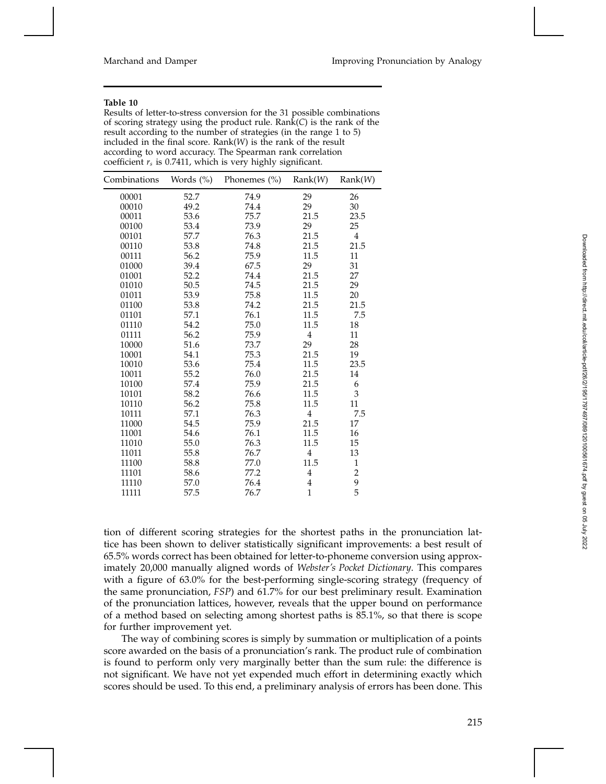Results of letter-to-stress conversion for the 31 possible combinations of scoring strategy using the product rule. Rank( *C*) is the rank of the result according to the number of strategies (in the range 1 to 5) included in the final score. Rank( *W*) is the rank of the result according to word accuracy. The Spearman rank correlation coefficient *r <sup>s</sup>* is 0.7411, which is very highly significant.

| Combinations | Words $(\%)$ | Phonemes (%) | Rank(W)        | Rank(W)        |
|--------------|--------------|--------------|----------------|----------------|
| 00001        | 52.7         | 74.9         | 29             | 26             |
| 00010        | 49.2         | 74.4         | 29             | 30             |
| 00011        | 53.6         | 75.7         | 21.5           | 23.5           |
| 00100        | 53.4         | 73.9         | 29             | 25             |
| 00101        | 57.7         | 76.3         | 21.5           | $\overline{4}$ |
| 00110        | 53.8         | 74.8         | 21.5           | 21.5           |
| 00111        | 56.2         | 75.9         | 11.5           | 11             |
| 01000        | 39.4         | 67.5         | 29             | 31             |
| 01001        | 52.2         | 74.4         | 21.5           | 27             |
| 01010        | 50.5         | 74.5         | 21.5           | 29             |
| 01011        | 53.9         | 75.8         | 11.5           | 20             |
| 01100        | 53.8         | 74.2         | 21.5           | 21.5           |
| 01101        | 57.1         | 76.1         | 11.5           | 7.5            |
| 01110        | 54.2         | 75.0         | 11.5           | 18             |
| 01111        | 56.2         | 75.9         | $\overline{4}$ | 11             |
| 10000        | 51.6         | 73.7         | 29             | 28             |
| 10001        | 54.1         | 75.3         | 21.5           | 19             |
| 10010        | 53.6         | 75.4         | 11.5           | 23.5           |
| 10011        | 55.2         | 76.0         | 21.5           | 14             |
| 10100        | 57.4         | 75.9         | 21.5           | 6              |
| 10101        | 58.2         | 76.6         | 11.5           | 3              |
| 10110        | 56.2         | 75.8         | 11.5           | 11             |
| 10111        | 57.1         | 76.3         | $\overline{4}$ | 7.5            |
| 11000        | 54.5         | 75.9         | 21.5           | 17             |
| 11001        | 54.6         | 76.1         | 11.5           | 16             |
| 11010        | 55.0         | 76.3         | 11.5           | 15             |
| 11011        | 55.8         | 76.7         | $\overline{4}$ | 13             |
| 11100        | 58.8         | 77.0         | 11.5           | $\mathbf{1}$   |
| 11101        | 58.6         | 77.2         | 4              |                |
| 11110        | 57.0         | 76.4         | $\overline{4}$ | $\frac{2}{9}$  |
| 11111        | 57.5         | 76.7         | $\mathbf{1}$   |                |

tion of different scoring strategies for the shortest paths in the pronunciation lattice has been shown to deliver statistically significant improvements: a best result of 65.5% words correct has been obtained for letter-to-phoneme conversion using approximately 20,000 manually aligned words of *Webster's Pocket Dictionary*. This compares with a figure of 63.0% for the best-performing single-scoring strategy (frequency of the same pronunciation, *FSP*) and 61.7% for our best preliminary result. Examination of the pronunciation lattices, however, reveals that the upper bound on performance of a method based on selecting among shortest paths is 85.1%, so that there is scope for further improvement yet.

The way of combining scores is simply by summation or multiplication of a points score awarded on the basis of a pronunciation's rank. The product rule of combination is found to perform only very marginally better than the sum rule: the difference is not significant. We have not yet expended much effort in determining exactly which scores should be used. To this end, a preliminary analysis of errors has been done. This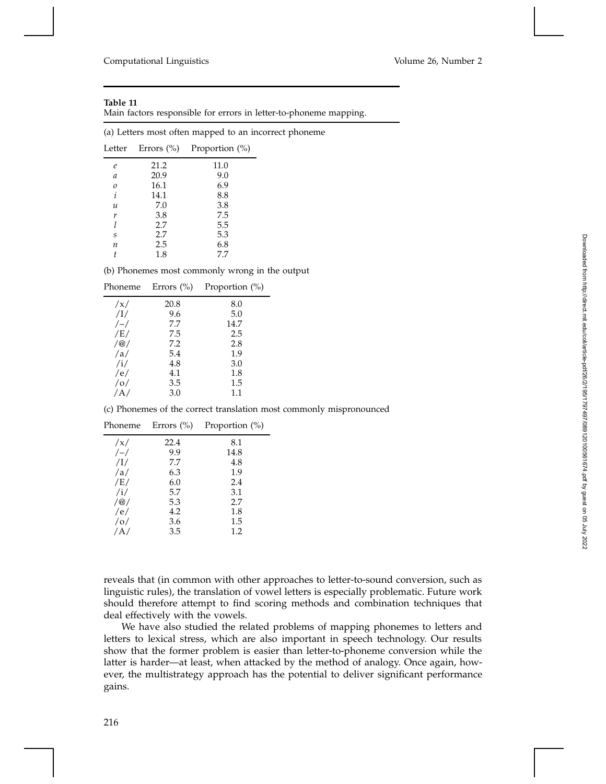Computational Linguistics Volume 26, Number 2

#### **Table 11**

Main factors responsible for errors in letter-to-phoneme mapping.

(a) Letters most often mapped to an incorrect phoneme

| Letter           | Errors $(\% )$ | Proportion $(\%)$ |
|------------------|----------------|-------------------|
| $\ell$           | 21.2           | 11.0              |
| $\mathfrak a$    | 20.9           | 9.0               |
| 0                | 16.1           | 6.9               |
| i                | 14.1           | 8.8               |
| $\mathcal{U}$    | 7.0            | 3.8               |
| r                | 3.8            | 7.5               |
| 1                | 2.7            | 5.5               |
| S                | 2.7            | 5.3               |
| $\boldsymbol{n}$ | 2.5            | 6.8               |
| t                | 1.8            | 7.7               |
|                  |                |                   |

(b) Phonemes most commonly wrong in the output

| Phoneme        | Errors $(\% )$ | Proportion $(\%)$ |
|----------------|----------------|-------------------|
| $\sqrt{x}$     | 20.8           | 8.0               |
| /I/            | 9.6            | 5.0               |
| $/ - /$        | 7.7            | 14.7              |
| /E/            | 7.5            | 2.5               |
| $/\mathbf{Q}/$ | 7.2            | 2.8               |
| /a/            | 5.4            | 1.9               |
| /i/            | 4.8            | 3.0               |
| /e/            | 4.1            | 1.8               |
| / o/           | 3.5            | 1.5               |
| /A/            | 3.0            | $1.1\,$           |
|                |                |                   |

(c) Phonemes of the correct translation most commonly mispronounced

| Phoneme        | Errors $(\% )$ | Proportion $(\% )$ |
|----------------|----------------|--------------------|
| $\sqrt{x}$     | 22.4           | 8.1                |
| $/ - /$        | 9.9            | 14.8               |
| /1/            | 7.7            | 4.8                |
| /a/            | 6.3            | 1.9                |
| /E/            | 6.0            | 2.4                |
| /i/            | 5.7            | 3.1                |
| $/\mathbf{Q}/$ | 5.3            | 2.7                |
| /e/            | 4.2            | 1.8                |
| / o/           | 3.6            | 1.5                |
| /A/            | 3.5            | 1.2                |

reveals that (in common with other approaches to letter-to-sound conversion, such as linguistic rules), the translation of vowel letters is especially problematic. Future work should therefore attempt to find scoring methods and combination techniques that deal effectively with the vowels.

We have also studied the related problems of mapping phonemes to letters and letters to lexical stress, which are also important in speech technology. Our results show that the former problem is easier than letter-to-phoneme conversion while the latter is harder—at least, when attacked by the method of analogy. Once again, however, the multistrategy approach has the potential to deliver significant performance gains.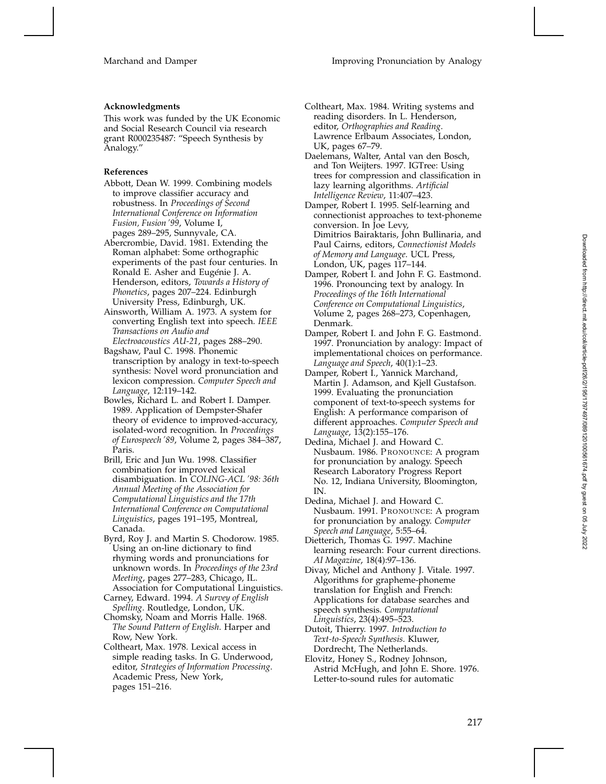#### **Acknowledgments**

This work was funded by the UK Economic and Social Research Council via research grant R000235487: "Speech Synthesis by Analogy."

#### **References**

- Abbott, Dean W. 1999. Combining models to improve classifier accuracy and robustness. In *Proceedings of Second International Conference on Information Fusion, Fusion '99*, Volume I, pages 289–295, Sunnyvale, CA.
- Abercrombie, David. 1981. Extending the Roman alphabet: Some orthographic experiments of the past four centuries. In Ronald E. Asher and Eugénie J. A. Henderson, editors, *Towards a History of Phonetics*, pages 207–224. Edinburgh University Press, Edinburgh, UK.
- Ainsworth, William A. 1973. A system for converting English text into speech. *IEEE Transactions on Audio and Electroacoustics AU-21*, pages 288–290.
- Bagshaw, Paul C. 1998. Phonemic transcription by analogy in text-to-speech synthesis: Novel word pronunciation and lexicon compression. *Computer Speech and Language*, 12:119–142.
- Bowles, Richard L. and Robert I. Damper. 1989. Application of Dempster-Shafer theory of evidence to improved-accuracy, isolated-word recognition. In *Proceedings of Eurospeech '89*, Volume 2, pages 384–387, Paris.
- Brill, Eric and Jun Wu. 1998. Classifier combination for improved lexical disambiguation. In *COLING-ACL '98: 36th Annual Meeting of the Association for Computational Linguistics and the 17th International Conference on Computational Linguistics*, pages 191–195, Montreal, Canada.
- Byrd, Roy J. and Martin S. Chodorow. 1985. Using an on-line dictionary to find rhyming words and pronunciations for unknown words. In *Proceedings of the 23rd Meeting*, pages 277–283, Chicago, IL. Association for Computational Linguistics.
- Carney, Edward. 1994. *A Survey of English Spelling*. Routledge, London, UK.
- Chomsky, Noam and Morris Halle. 1968. *The Sound Pattern of English*. Harper and Row, New York.
- Coltheart, Max. 1978. Lexical access in simple reading tasks. In G. Underwood, editor, *Strategies of Information Processing* . Academic Press, New York, pages 151–216.
- Coltheart, Max. 1984. Writing systems and reading disorders. In L. Henderson, editor, *Orthographies and Reading* . Lawrence Erlbaum Associates, London, UK, pages 67–79.
- Daelemans, Walter, Antal van den Bosch, and Ton Weijters. 1997. IGTree: Using trees for compression and classification in lazy learning algorithms. *Artificial Intelligence Review*, 11:407–423.
- Damper, Robert I. 1995. Self-learning and connectionist approaches to text-phoneme conversion. In Joe Levy, Dimitrios Bairaktaris, John Bullinaria, and Paul Cairns, editors, *Connectionist Models of Memory and Language*. UCL Press, London, UK, pages 117–144.
- Damper, Robert I. and John F. G. Eastmond. 1996. Pronouncing text by analogy. In *Proceedings of the 16th International Conference on Computational Linguistics* , Volume 2, pages 268–273, Copenhagen, Denmark.
- Damper, Robert I. and John F. G. Eastmond. 1997. Pronunciation by analogy: Impact of implementational choices on performance. *Language and Speech*, 40(1):1–23.
- Damper, Robert I., Yannick Marchand, Martin J. Adamson, and Kjell Gustafson. 1999. Evaluating the pronunciation component of text-to-speech systems for English: A performance comparison of different approaches. *Computer Speech and Language*, 13(2):155–176.
- Dedina, Michael J. and Howard C. Nusbaum. 1986. Pronounce: A program for pronunciation by analogy. Speech Research Laboratory Progress Report No. 12, Indiana University, Bloomington, IN.
- Dedina, Michael J. and Howard C. Nusbaum. 1991. Pronounce: A program for pronunciation by analogy. *Computer Speech and Language*, 5:55–64.
- Dietterich, Thomas G. 1997. Machine learning research: Four current directions. *AI Magazine*, 18(4):97–136.
- Divay, Michel and Anthony J. Vitale. 1997. Algorithms for grapheme-phoneme translation for English and French: Applications for database searches and speech synthesis. *Computational Linguistics*, 23(4):495–523.
- Dutoit, Thierry. 1997. *Introduction to Text-to-Speech Synthesis*. Kluwer, Dordrecht, The Netherlands.
- Elovitz, Honey S., Rodney Johnson, Astrid McHugh, and John E. Shore. 1976. Letter-to-sound rules for automatic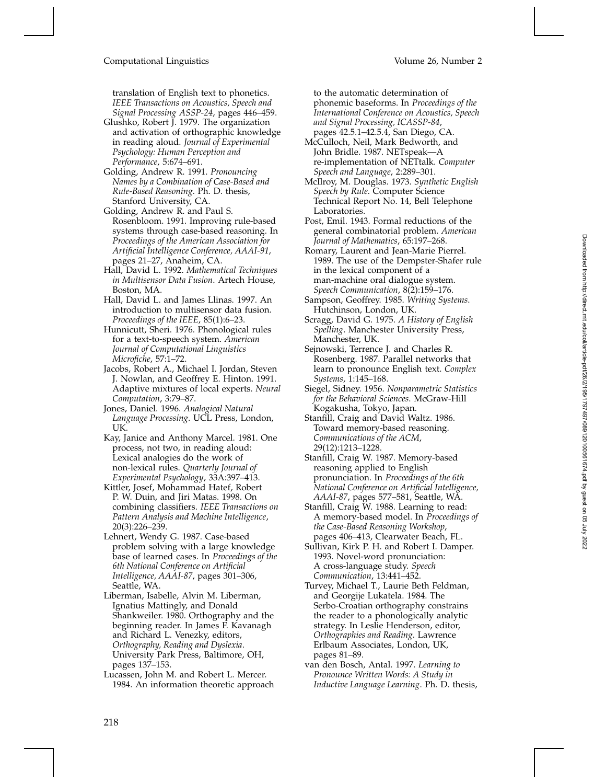translation of English text to phonetics. *IEEE Transactions on Acoustics, Speech and Signal Processing ASSP-24*, pages 446–459.

- Glushko, Robert J. 1979. The organization and activation of orthographic knowledge in reading aloud. *Journal of Experimental Psychology: Human Perception and Performance*, 5:674–691.
- Golding, Andrew R. 1991. *Pronouncing Names by a Combination of Case-Based and Rule-Based Reasoning*. Ph. D. thesis, Stanford University, CA.
- Golding, Andrew R. and Paul S. Rosenbloom. 1991. Improving rule-based systems through case-based reasoning. In *Proceedings of the American Association for Artificial Intelligence Conference, AAAI-91* , pages 21–27, Anaheim, CA.
- Hall, David L. 1992. *Mathematical Techniques in Multisensor Data Fusion*. Artech House, Boston, MA.
- Hall, David L. and James Llinas. 1997. An introduction to multisensor data fusion. *Proceedings of the IEEE*, 85(1):6–23.
- Hunnicutt, Sheri. 1976. Phonological rules for a text-to-speech system. *American Journal of Computational Linguistics Microfiche*, 57:1–72.
- Jacobs, Robert A., Michael I. Jordan, Steven J. Nowlan, and Geoffrey E. Hinton. 1991. Adaptive mixtures of local experts. *Neural Computation*, 3:79–87.
- Jones, Daniel. 1996. *Analogical Natural Language Processing*. UCL Press, London, UK.
- Kay, Janice and Anthony Marcel. 1981. One process, not two, in reading aloud: Lexical analogies do the work of non-lexical rules. *Quarterly Journal of Experimental Psychology*, 33A:397–413.
- Kittler, Josef, Mohammad Hatef, Robert P. W. Duin, and Jiri Matas. 1998. On combining classifiers. *IEEE Transactions on Pattern Analysis and Machine Intelligence* , 20(3):226–239.
- Lehnert, Wendy G. 1987. Case-based problem solving with a large knowledge base of learned cases. In *Proceedings of the 6th National Conference on Artificial Intelligence, AAAI-87*, pages 301–306, Seattle, WA.
- Liberman, Isabelle, Alvin M. Liberman, Ignatius Mattingly, and Donald Shankweiler. 1980. Orthography and the beginning reader. In James F. Kavanagh and Richard L. Venezky, editors, *Orthography, Reading and Dyslexia* . University Park Press, Baltimore, OH, pages 137–153.
- Lucassen, John M. and Robert L. Mercer. 1984. An information theoretic approach

to the automatic determination of phonemic baseforms. In *Proceedings of the International Conference on Acoustics, Speech and Signal Processing, ICASSP-84* , pages 42.5.1–42.5.4, San Diego, CA.

- McCulloch, Neil, Mark Bedworth, and John Bridle. 1987. NETspeak—A re-implementation of NETtalk. *Computer Speech and Language*, 2:289–301.
- McIlroy, M. Douglas. 1973. *Synthetic English Speech by Rule*. Computer Science Technical Report No. 14, Bell Telephone Laboratories.
- Post, Emil. 1943. Formal reductions of the general combinatorial problem. *American Journal of Mathematics*, 65:197–268.
- Romary, Laurent and Jean-Marie Pierrel. 1989. The use of the Dempster-Shafer rule in the lexical component of a man-machine oral dialogue system. *Speech Communication*, 8(2):159–176.
- Sampson, Geoffrey. 1985. *Writing Systems* . Hutchinson, London, UK.
- Scragg, David G. 1975. *A History of English Spelling*. Manchester University Press, Manchester, UK.
- Sejnowski, Terrence J. and Charles R. Rosenberg. 1987. Parallel networks that learn to pronounce English text. *Complex Systems*, 1:145–168.
- Siegel, Sidney. 1956. *Nonparametric Statistics for the Behavioral Sciences*. McGraw-Hill Kogakusha, Tokyo, Japan.
- Stanfill, Craig and David Waltz. 1986. Toward memory-based reasoning. *Communications of the ACM* , 29(12):1213–1228.
- Stanfill, Craig W. 1987. Memory-based reasoning applied to English pronunciation. In *Proceedings of the 6th National Conference on Artificial Intelligence, AAAI-87*, pages 577–581, Seattle, WA.
- Stanfill, Craig W. 1988. Learning to read: A memory-based model. In *Proceedings of the Case-Based Reasoning Workshop* , pages 406–413, Clearwater Beach, FL.
- Sullivan, Kirk P. H. and Robert I. Damper. 1993. Novel-word pronunciation: A cross-language study. *Speech Communication*, 13:441–452.
- Turvey, Michael T., Laurie Beth Feldman, and Georgije Lukatela. 1984. The Serbo-Croatian orthography constrains the reader to a phonologically analytic strategy. In Leslie Henderson, editor, *Orthographies and Reading*. Lawrence Erlbaum Associates, London, UK, pages 81–89.
- van den Bosch, Antal. 1997. *Learning to Pronounce Written Words: A Study in Inductive Language Learning*. Ph. D. thesis,